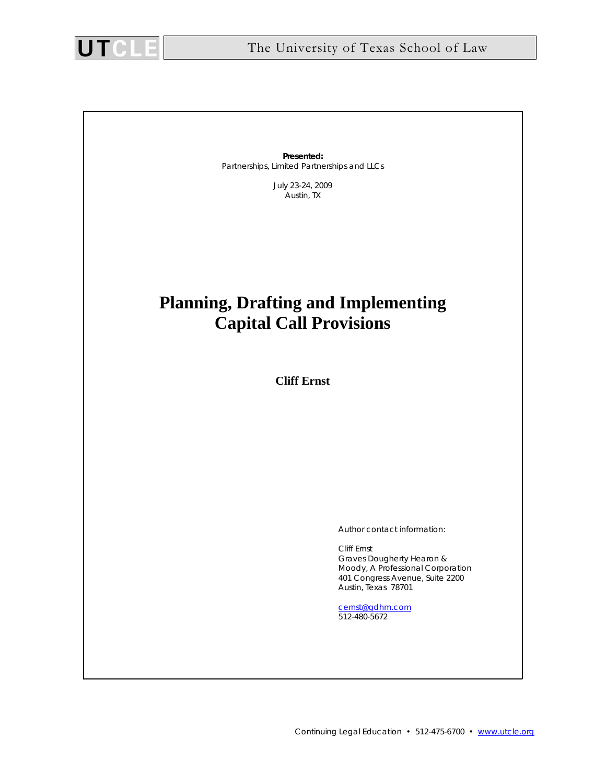

**Presented:**  Partnerships, Limited Partnerships and LLCs

> July 23-24, 2009 Austin, TX

# **Planning, Drafting and Implementing Capital Call Provisions**

**Cliff Ernst** 

Author contact information:

 Cliff Ernst Graves Dougherty Hearon & Moody, A Professional Corporation 401 Congress Avenue, Suite 2200 Austin, Texas 78701

 cernst@gdhm.com 512-480-5672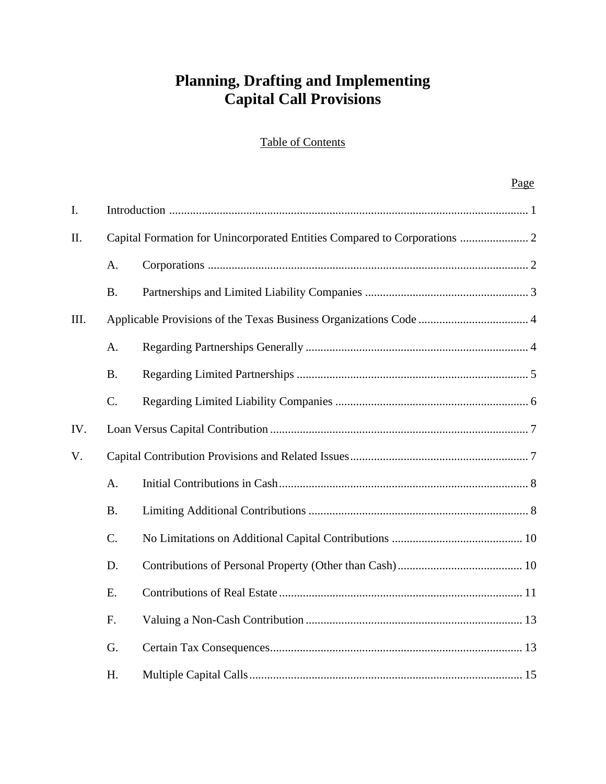# **Planning, Drafting and Implementing Capital Call Provisions**

# Table of Contents

# Page

| I.   |           |  |  |
|------|-----------|--|--|
| II.  |           |  |  |
|      | A.        |  |  |
|      | <b>B.</b> |  |  |
| III. |           |  |  |
|      | A.        |  |  |
|      | <b>B.</b> |  |  |
|      | C.        |  |  |
| IV.  |           |  |  |
| V.   |           |  |  |
|      | A.        |  |  |
|      | <b>B.</b> |  |  |
|      | C.        |  |  |
|      | D.        |  |  |
|      | E.        |  |  |
|      | F.        |  |  |
|      | G.        |  |  |
|      | Η.        |  |  |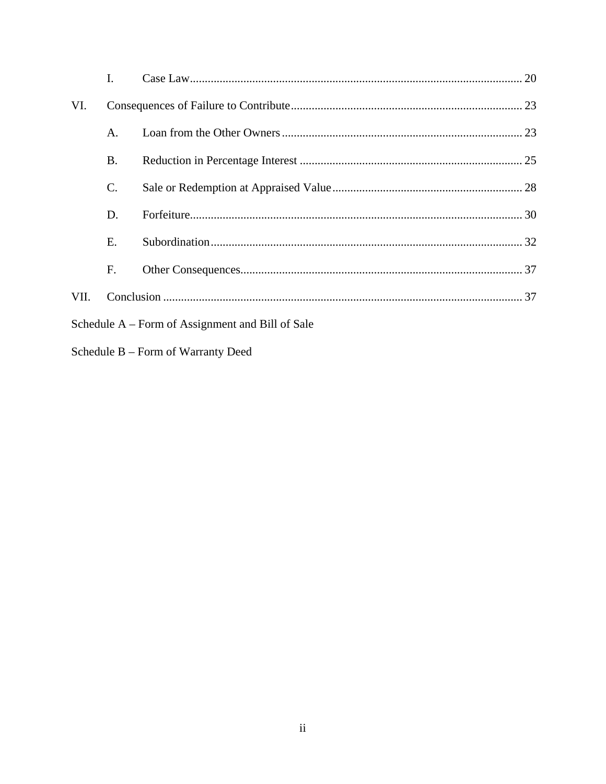|                                                  | I.              |  |  |  |  |
|--------------------------------------------------|-----------------|--|--|--|--|
| VI.                                              |                 |  |  |  |  |
|                                                  | A.              |  |  |  |  |
|                                                  | <b>B.</b>       |  |  |  |  |
|                                                  | $\mathcal{C}$ . |  |  |  |  |
|                                                  | D.              |  |  |  |  |
|                                                  | E.              |  |  |  |  |
|                                                  | F.              |  |  |  |  |
| VII.                                             |                 |  |  |  |  |
| Schedule A – Form of Assignment and Bill of Sale |                 |  |  |  |  |
|                                                  |                 |  |  |  |  |

Schedule B – Form of Warranty Deed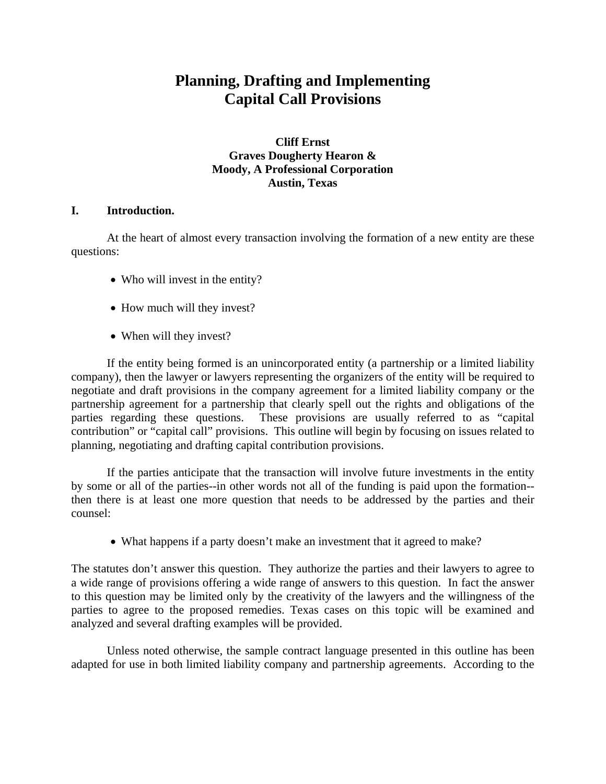# **Planning, Drafting and Implementing Capital Call Provisions**

# **Cliff Ernst Graves Dougherty Hearon & Moody, A Professional Corporation Austin, Texas**

# **I. Introduction.**

 At the heart of almost every transaction involving the formation of a new entity are these questions:

- Who will invest in the entity?
- How much will they invest?
- When will they invest?

If the entity being formed is an unincorporated entity (a partnership or a limited liability company), then the lawyer or lawyers representing the organizers of the entity will be required to negotiate and draft provisions in the company agreement for a limited liability company or the partnership agreement for a partnership that clearly spell out the rights and obligations of the parties regarding these questions. These provisions are usually referred to as "capital contribution" or "capital call" provisions. This outline will begin by focusing on issues related to planning, negotiating and drafting capital contribution provisions.

If the parties anticipate that the transaction will involve future investments in the entity by some or all of the parties--in other words not all of the funding is paid upon the formation- then there is at least one more question that needs to be addressed by the parties and their counsel:

• What happens if a party doesn't make an investment that it agreed to make?

The statutes don't answer this question. They authorize the parties and their lawyers to agree to a wide range of provisions offering a wide range of answers to this question. In fact the answer to this question may be limited only by the creativity of the lawyers and the willingness of the parties to agree to the proposed remedies. Texas cases on this topic will be examined and analyzed and several drafting examples will be provided.

 Unless noted otherwise, the sample contract language presented in this outline has been adapted for use in both limited liability company and partnership agreements. According to the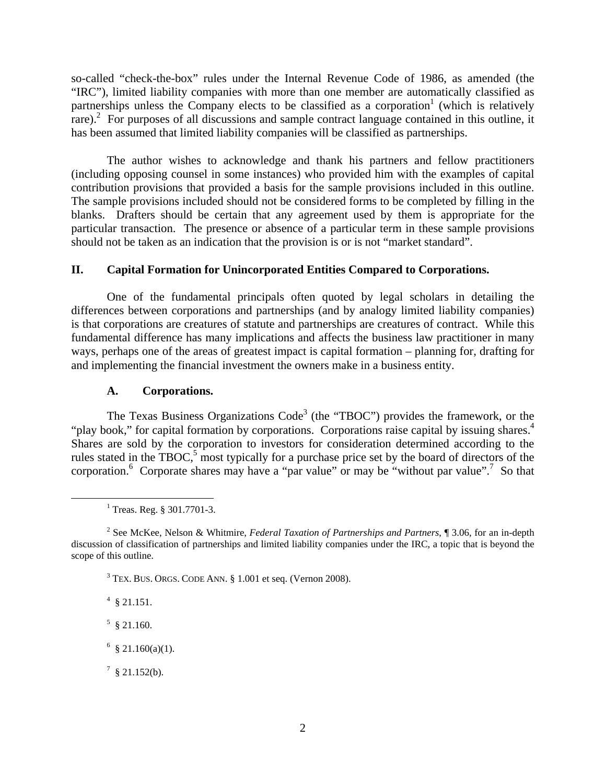so-called "check-the-box" rules under the Internal Revenue Code of 1986, as amended (the "IRC"), limited liability companies with more than one member are automatically classified as partnerships unless the Company elects to be classified as a corporation<sup>1</sup> (which is relatively rare).<sup>2</sup> For purposes of all discussions and sample contract language contained in this outline, it has been assumed that limited liability companies will be classified as partnerships.

The author wishes to acknowledge and thank his partners and fellow practitioners (including opposing counsel in some instances) who provided him with the examples of capital contribution provisions that provided a basis for the sample provisions included in this outline. The sample provisions included should not be considered forms to be completed by filling in the blanks. Drafters should be certain that any agreement used by them is appropriate for the particular transaction. The presence or absence of a particular term in these sample provisions should not be taken as an indication that the provision is or is not "market standard".

## **II. Capital Formation for Unincorporated Entities Compared to Corporations.**

One of the fundamental principals often quoted by legal scholars in detailing the differences between corporations and partnerships (and by analogy limited liability companies) is that corporations are creatures of statute and partnerships are creatures of contract. While this fundamental difference has many implications and affects the business law practitioner in many ways, perhaps one of the areas of greatest impact is capital formation – planning for, drafting for and implementing the financial investment the owners make in a business entity.

### **A. Corporations.**

The Texas Business Organizations  $Code<sup>3</sup>$  (the "TBOC") provides the framework, or the "play book," for capital formation by corporations. Corporations raise capital by issuing shares.<sup>4</sup> Shares are sold by the corporation to investors for consideration determined according to the rules stated in the  $TBOC<sub>o</sub><sup>5</sup>$  most typically for a purchase price set by the board of directors of the corporation.<sup>6</sup> Corporate shares may have a "par value" or may be "without par value".<sup>7</sup> So that

 $4 \text{ } $21.151.$ 

 $5 \text{ }$ \$ 21.160.

 $6 \text{ } \text{\$} 21.160(a)(1).$ 

 $^7$  § 21.152(b).

 $\frac{1}{1}$  $1$  Treas. Reg. § 301.7701-3.

<sup>2</sup> See McKee, Nelson & Whitmire, *Federal Taxation of Partnerships and Partners*, ¶ 3.06, for an in-depth discussion of classification of partnerships and limited liability companies under the IRC, a topic that is beyond the scope of this outline.

 $3$  TEX. BUS. ORGS. CODE ANN.  $\S 1.001$  et seq. (Vernon 2008).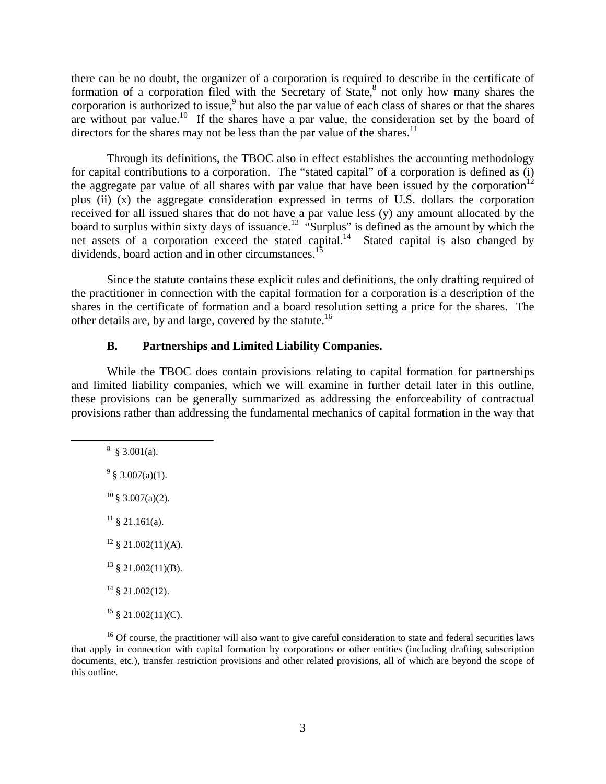there can be no doubt, the organizer of a corporation is required to describe in the certificate of formation of a corporation filed with the Secretary of State, ${}^{8}$  not only how many shares the corporation is authorized to issue,<sup>9</sup> but also the par value of each class of shares or that the shares are without par value.<sup>10</sup> If the shares have a par value, the consideration set by the board of directors for the shares may not be less than the par value of the shares.<sup>11</sup>

Through its definitions, the TBOC also in effect establishes the accounting methodology for capital contributions to a corporation. The "stated capital" of a corporation is defined as (i) the aggregate par value of all shares with par value that have been issued by the corporation<sup>12</sup> plus (ii) (x) the aggregate consideration expressed in terms of U.S. dollars the corporation received for all issued shares that do not have a par value less (y) any amount allocated by the board to surplus within sixty days of issuance.<sup>13</sup> "Surplus" is defined as the amount by which the net assets of a corporation exceed the stated capital.<sup>14</sup> Stated capital is also changed by dividends, board action and in other circumstances.<sup>15</sup>

Since the statute contains these explicit rules and definitions, the only drafting required of the practitioner in connection with the capital formation for a corporation is a description of the shares in the certificate of formation and a board resolution setting a price for the shares. The other details are, by and large, covered by the statute.<sup>16</sup>

#### **B. Partnerships and Limited Liability Companies.**

While the TBOC does contain provisions relating to capital formation for partnerships and limited liability companies, which we will examine in further detail later in this outline, these provisions can be generally summarized as addressing the enforceability of contractual provisions rather than addressing the fundamental mechanics of capital formation in the way that

 $\frac{1}{8}$  $\frac{8}{9}$  § 3.001(a).

 $9\ \S\ 3.007(a)(1)$ .

 $10 \text{ }$ § 3.007(a)(2).

 $11 \& 21.161(a)$ .

 $12 \text{ }$  \$ 21.002(11)(A).

 $13 \S$  21.002(11)(B).

 $14 \text{ }$  \$ 21.002(12).

 $15 \& 21.002(11)(C)$ .

<sup>16</sup> Of course, the practitioner will also want to give careful consideration to state and federal securities laws that apply in connection with capital formation by corporations or other entities (including drafting subscription documents, etc.), transfer restriction provisions and other related provisions, all of which are beyond the scope of this outline.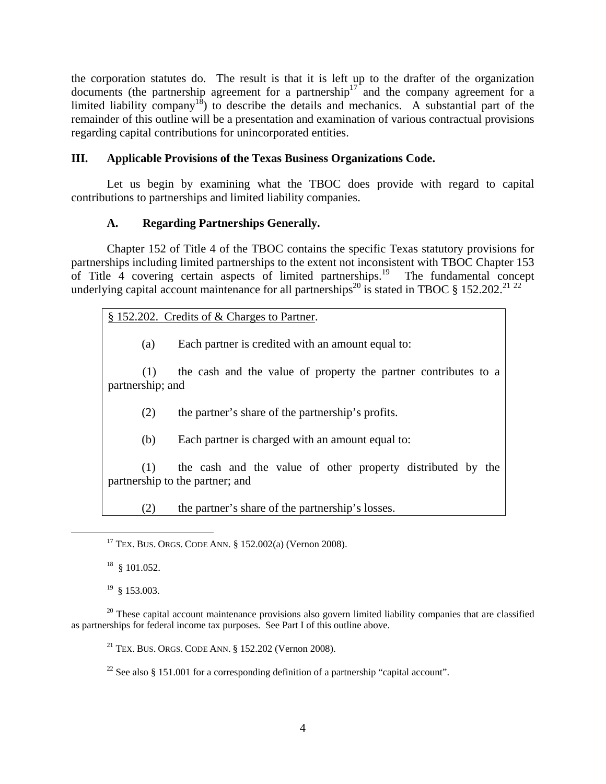the corporation statutes do. The result is that it is left up to the drafter of the organization documents (the partnership agreement for a partnership<sup>17</sup> and the company agreement for a limited liability company<sup>18</sup>) to describe the details and mechanics. A substantial part of the remainder of this outline will be a presentation and examination of various contractual provisions regarding capital contributions for unincorporated entities.

# **III. Applicable Provisions of the Texas Business Organizations Code.**

Let us begin by examining what the TBOC does provide with regard to capital contributions to partnerships and limited liability companies.

# **A. Regarding Partnerships Generally.**

Chapter 152 of Title 4 of the TBOC contains the specific Texas statutory provisions for partnerships including limited partnerships to the extent not inconsistent with TBOC Chapter 153 of Title 4 covering certain aspects of limited partnerships.<sup>19</sup> The fundamental concept underlying capital account maintenance for all partnerships<sup>20</sup> is stated in TBOC § 152.202.<sup>21 22</sup>

# § 152.202. Credits of & Charges to Partner.

(a) Each partner is credited with an amount equal to:

(1) the cash and the value of property the partner contributes to a partnership; and

(2) the partner's share of the partnership's profits.

(b) Each partner is charged with an amount equal to:

(1) the cash and the value of other property distributed by the partnership to the partner; and

(2) the partner's share of the partnership's losses.

 $18$  § 101.052.

 $19 \& 153.003$ .

 <sup>17</sup> TEX. BUS. ORGS. CODE ANN. § 152.002(a) (Vernon 2008).

 $20$  These capital account maintenance provisions also govern limited liability companies that are classified as partnerships for federal income tax purposes. See Part I of this outline above.

<sup>&</sup>lt;sup>21</sup> TEX. BUS. ORGS. CODE ANN. § 152.202 (Vernon 2008).

<sup>&</sup>lt;sup>22</sup> See also § 151.001 for a corresponding definition of a partnership "capital account".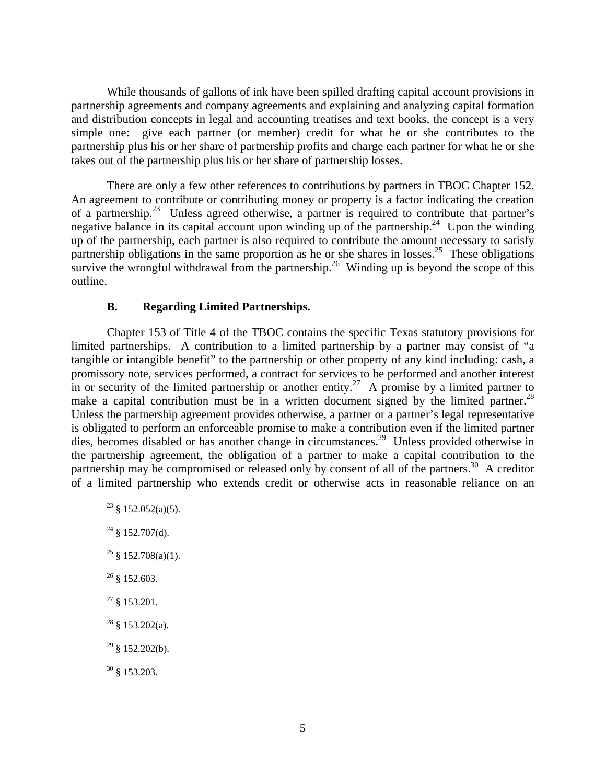While thousands of gallons of ink have been spilled drafting capital account provisions in partnership agreements and company agreements and explaining and analyzing capital formation and distribution concepts in legal and accounting treatises and text books, the concept is a very simple one: give each partner (or member) credit for what he or she contributes to the partnership plus his or her share of partnership profits and charge each partner for what he or she takes out of the partnership plus his or her share of partnership losses.

There are only a few other references to contributions by partners in TBOC Chapter 152. An agreement to contribute or contributing money or property is a factor indicating the creation of a partnership.<sup>23</sup> Unless agreed otherwise, a partner is required to contribute that partner's negative balance in its capital account upon winding up of the partnership.<sup>24</sup> Upon the winding up of the partnership, each partner is also required to contribute the amount necessary to satisfy partnership obligations in the same proportion as he or she shares in losses.<sup>25</sup> These obligations survive the wrongful withdrawal from the partnership.<sup>26</sup> Winding up is beyond the scope of this outline.

#### **B. Regarding Limited Partnerships.**

Chapter 153 of Title 4 of the TBOC contains the specific Texas statutory provisions for limited partnerships. A contribution to a limited partnership by a partner may consist of "a tangible or intangible benefit" to the partnership or other property of any kind including: cash, a promissory note, services performed, a contract for services to be performed and another interest in or security of the limited partnership or another entity.<sup>27</sup> A promise by a limited partner to make a capital contribution must be in a written document signed by the limited partner.<sup>28</sup> Unless the partnership agreement provides otherwise, a partner or a partner's legal representative is obligated to perform an enforceable promise to make a contribution even if the limited partner dies, becomes disabled or has another change in circumstances.<sup>29</sup> Unless provided otherwise in the partnership agreement, the obligation of a partner to make a capital contribution to the partnership may be compromised or released only by consent of all of the partners.<sup>30</sup> A creditor of a limited partnership who extends credit or otherwise acts in reasonable reliance on an

- <sup>25</sup> § 152.708(a)(1).
- $26$  § 152.603.
- $27 \S 153.201$ .
- $28 \text{ }$ § 153.202(a).
- $29$  § 152.202(b).
- $30 \text{ } 8$  153.203.

<sup>&</sup>lt;sup>23</sup> § 152.052(a)(5).

 $24 \text{ }$ § 152.707(d).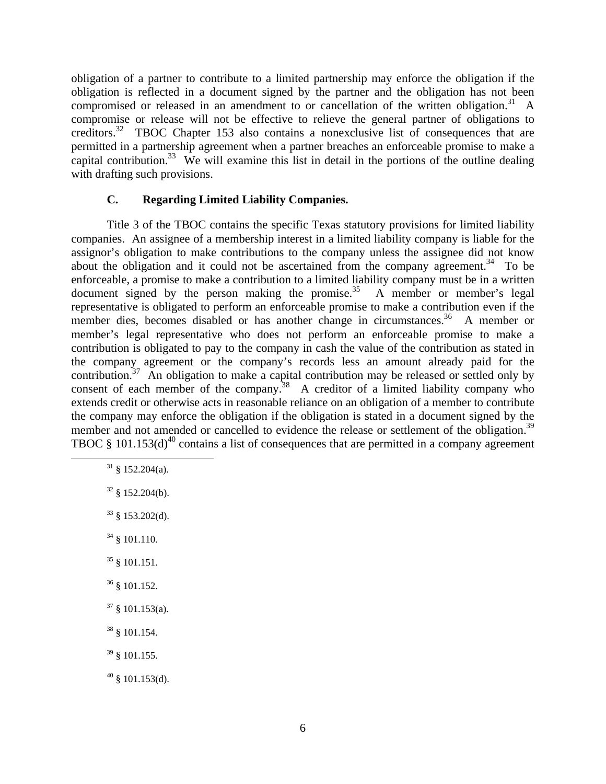obligation of a partner to contribute to a limited partnership may enforce the obligation if the obligation is reflected in a document signed by the partner and the obligation has not been compromised or released in an amendment to or cancellation of the written obligation.<sup>31</sup> A compromise or release will not be effective to relieve the general partner of obligations to creditors.<sup>32</sup> TBOC Chapter 153 also contains a nonexclusive list of consequences that are permitted in a partnership agreement when a partner breaches an enforceable promise to make a capital contribution.<sup>33</sup> We will examine this list in detail in the portions of the outline dealing with drafting such provisions.

## **C. Regarding Limited Liability Companies.**

Title 3 of the TBOC contains the specific Texas statutory provisions for limited liability companies. An assignee of a membership interest in a limited liability company is liable for the assignor's obligation to make contributions to the company unless the assignee did not know about the obligation and it could not be ascertained from the company agreement.<sup>34</sup> To be enforceable, a promise to make a contribution to a limited liability company must be in a written document signed by the person making the promise.<sup>35</sup> A member or member's legal representative is obligated to perform an enforceable promise to make a contribution even if the member dies, becomes disabled or has another change in circumstances.<sup>36</sup> A member or member's legal representative who does not perform an enforceable promise to make a contribution is obligated to pay to the company in cash the value of the contribution as stated in the company agreement or the company's records less an amount already paid for the contribution.<sup>37</sup> An obligation to make a capital contribution may be released or settled only by consent of each member of the company.<sup>38</sup> A creditor of a limited liability company who extends credit or otherwise acts in reasonable reliance on an obligation of a member to contribute the company may enforce the obligation if the obligation is stated in a document signed by the member and not amended or cancelled to evidence the release or settlement of the obligation.<sup>39</sup> TBOC  $\frac{8}{3}$  101.153(d)<sup>40</sup> contains a list of consequences that are permitted in a company agreement

- $31 \& 152.204(a)$ .
- $32 \& 152.204(b)$ .
- $33 \S$  153.202(d).
- $34 \text{ }$ § 101.110.
- $35 \& 101.151.$
- 36 § 101.152.
- $37 \text{ }$  \$101.153(a).
- 38 § 101.154.
- 39 § 101.155.
- $40 \text{ }$ § 101.153(d).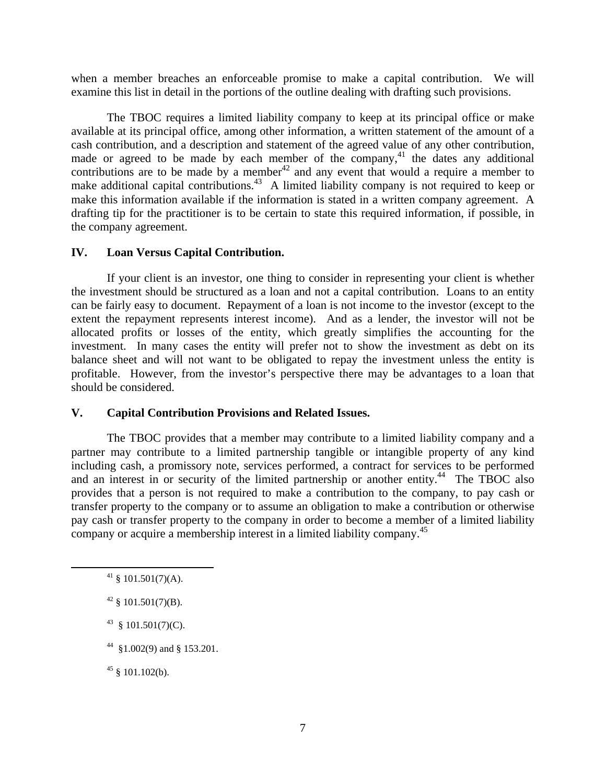when a member breaches an enforceable promise to make a capital contribution. We will examine this list in detail in the portions of the outline dealing with drafting such provisions.

The TBOC requires a limited liability company to keep at its principal office or make available at its principal office, among other information, a written statement of the amount of a cash contribution, and a description and statement of the agreed value of any other contribution, made or agreed to be made by each member of the company, $41$  the dates any additional contributions are to be made by a member  $42$  and any event that would a require a member to make additional capital contributions.<sup>43</sup> A limited liability company is not required to keep or make this information available if the information is stated in a written company agreement. A drafting tip for the practitioner is to be certain to state this required information, if possible, in the company agreement.

#### **IV. Loan Versus Capital Contribution.**

If your client is an investor, one thing to consider in representing your client is whether the investment should be structured as a loan and not a capital contribution. Loans to an entity can be fairly easy to document. Repayment of a loan is not income to the investor (except to the extent the repayment represents interest income). And as a lender, the investor will not be allocated profits or losses of the entity, which greatly simplifies the accounting for the investment. In many cases the entity will prefer not to show the investment as debt on its balance sheet and will not want to be obligated to repay the investment unless the entity is profitable. However, from the investor's perspective there may be advantages to a loan that should be considered.

## **V. Capital Contribution Provisions and Related Issues.**

The TBOC provides that a member may contribute to a limited liability company and a partner may contribute to a limited partnership tangible or intangible property of any kind including cash, a promissory note, services performed, a contract for services to be performed and an interest in or security of the limited partnership or another entity.<sup>44</sup> The TBOC also provides that a person is not required to make a contribution to the company, to pay cash or transfer property to the company or to assume an obligation to make a contribution or otherwise pay cash or transfer property to the company in order to become a member of a limited liability company or acquire a membership interest in a limited liability company.<sup>45</sup>

 $42 \S$  101.501(7)(B).

 $43 \& 101.501(7)(C)$ .

 $44$  §1.002(9) and § 153.201.

 $45 \& 101.102(b)$ .

 $41 \text{ }$ \$ 101.501(7)(A).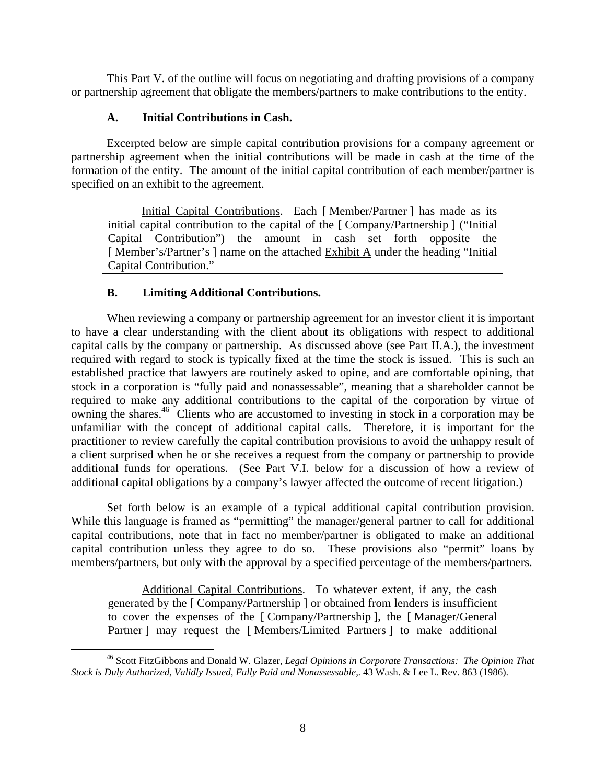This Part V. of the outline will focus on negotiating and drafting provisions of a company or partnership agreement that obligate the members/partners to make contributions to the entity.

# **A. Initial Contributions in Cash.**

Excerpted below are simple capital contribution provisions for a company agreement or partnership agreement when the initial contributions will be made in cash at the time of the formation of the entity. The amount of the initial capital contribution of each member/partner is specified on an exhibit to the agreement.

Initial Capital Contributions. Each [Member/Partner ] has made as its initial capital contribution to the capital of the [ Company/Partnership ] ("Initial Capital Contribution") the amount in cash set forth opposite the [ Member's/Partner's ] name on the attached Exhibit A under the heading "Initial Capital Contribution."

# **B. Limiting Additional Contributions.**

When reviewing a company or partnership agreement for an investor client it is important to have a clear understanding with the client about its obligations with respect to additional capital calls by the company or partnership. As discussed above (see Part II.A.), the investment required with regard to stock is typically fixed at the time the stock is issued. This is such an established practice that lawyers are routinely asked to opine, and are comfortable opining, that stock in a corporation is "fully paid and nonassessable", meaning that a shareholder cannot be required to make any additional contributions to the capital of the corporation by virtue of owning the shares.<sup>46</sup> Clients who are accustomed to investing in stock in a corporation may be unfamiliar with the concept of additional capital calls. Therefore, it is important for the practitioner to review carefully the capital contribution provisions to avoid the unhappy result of a client surprised when he or she receives a request from the company or partnership to provide additional funds for operations. (See Part V.I. below for a discussion of how a review of additional capital obligations by a company's lawyer affected the outcome of recent litigation.)

Set forth below is an example of a typical additional capital contribution provision. While this language is framed as "permitting" the manager/general partner to call for additional capital contributions, note that in fact no member/partner is obligated to make an additional capital contribution unless they agree to do so. These provisions also "permit" loans by members/partners, but only with the approval by a specified percentage of the members/partners.

Additional Capital Contributions. To whatever extent, if any, the cash generated by the [ Company/Partnership ] or obtained from lenders is insufficient to cover the expenses of the [ Company/Partnership ], the [ Manager/General Partner ] may request the [Members/Limited Partners ] to make additional

 <sup>46</sup> Scott FitzGibbons and Donald W. Glazer, *Legal Opinions in Corporate Transactions: The Opinion That Stock is Duly Authorized, Validly Issued, Fully Paid and Nonassessable,.* 43 Wash. & Lee L. Rev. 863 (1986).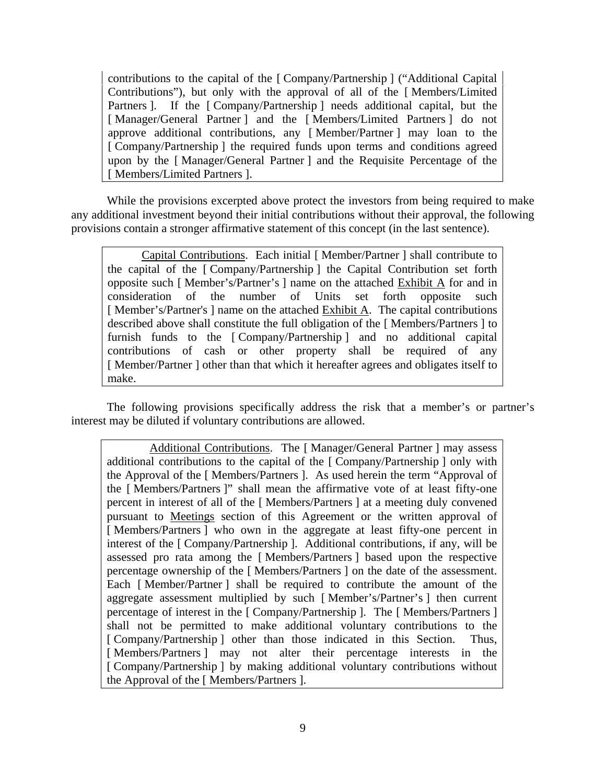contributions to the capital of the [ Company/Partnership ] ("Additional Capital Contributions"), but only with the approval of all of the [ Members/Limited Partners ]. If the [Company/Partnership ] needs additional capital, but the [ Manager/General Partner ] and the [ Members/Limited Partners ] do not approve additional contributions, any [ Member/Partner ] may loan to the [ Company/Partnership ] the required funds upon terms and conditions agreed upon by the [ Manager/General Partner ] and the Requisite Percentage of the [ Members/Limited Partners ].

While the provisions excerpted above protect the investors from being required to make any additional investment beyond their initial contributions without their approval, the following provisions contain a stronger affirmative statement of this concept (in the last sentence).

Capital Contributions. Each initial [ Member/Partner ] shall contribute to the capital of the [ Company/Partnership ] the Capital Contribution set forth opposite such [ Member's/Partner's ] name on the attached Exhibit A for and in consideration of the number of Units set forth opposite such [ Member's/Partner's ] name on the attached Exhibit A. The capital contributions described above shall constitute the full obligation of the [ Members/Partners ] to furnish funds to the [ Company/Partnership ] and no additional capital contributions of cash or other property shall be required of any [Member/Partner] other than that which it hereafter agrees and obligates itself to make.

The following provisions specifically address the risk that a member's or partner's interest may be diluted if voluntary contributions are allowed.

Additional Contributions. The [Manager/General Partner ] may assess additional contributions to the capital of the [ Company/Partnership ] only with the Approval of the [ Members/Partners ]. As used herein the term "Approval of the [ Members/Partners ]" shall mean the affirmative vote of at least fifty-one percent in interest of all of the [ Members/Partners ] at a meeting duly convened pursuant to Meetings section of this Agreement or the written approval of [Members/Partners] who own in the aggregate at least fifty-one percent in interest of the [ Company/Partnership ]. Additional contributions, if any, will be assessed pro rata among the [ Members/Partners ] based upon the respective percentage ownership of the [ Members/Partners ] on the date of the assessment. Each [ Member/Partner ] shall be required to contribute the amount of the aggregate assessment multiplied by such [ Member's/Partner's ] then current percentage of interest in the [ Company/Partnership ]. The [ Members/Partners ] shall not be permitted to make additional voluntary contributions to the [ Company/Partnership ] other than those indicated in this Section. Thus, [ Members/Partners ] may not alter their percentage interests in the [ Company/Partnership ] by making additional voluntary contributions without the Approval of the [ Members/Partners ].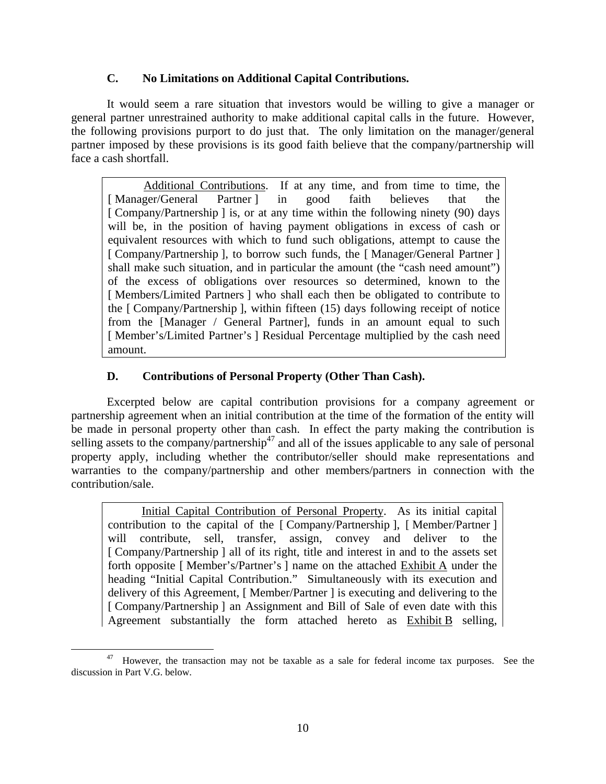# **C. No Limitations on Additional Capital Contributions.**

It would seem a rare situation that investors would be willing to give a manager or general partner unrestrained authority to make additional capital calls in the future. However, the following provisions purport to do just that. The only limitation on the manager/general partner imposed by these provisions is its good faith believe that the company/partnership will face a cash shortfall.

Additional Contributions. If at any time, and from time to time, the [Manager/General Partner] in good faith believes that the [ Company/Partnership ] is, or at any time within the following ninety (90) days will be, in the position of having payment obligations in excess of cash or equivalent resources with which to fund such obligations, attempt to cause the [ Company/Partnership ], to borrow such funds, the [ Manager/General Partner ] shall make such situation, and in particular the amount (the "cash need amount") of the excess of obligations over resources so determined, known to the [Members/Limited Partners ] who shall each then be obligated to contribute to the [ Company/Partnership ], within fifteen (15) days following receipt of notice from the [Manager / General Partner], funds in an amount equal to such [ Member's/Limited Partner's ] Residual Percentage multiplied by the cash need amount.

# **D. Contributions of Personal Property (Other Than Cash).**

Excerpted below are capital contribution provisions for a company agreement or partnership agreement when an initial contribution at the time of the formation of the entity will be made in personal property other than cash. In effect the party making the contribution is selling assets to the company/partnership<sup>47</sup> and all of the issues applicable to any sale of personal property apply, including whether the contributor/seller should make representations and warranties to the company/partnership and other members/partners in connection with the contribution/sale.

Initial Capital Contribution of Personal Property. As its initial capital contribution to the capital of the [ Company/Partnership ], [ Member/Partner ] will contribute, sell, transfer, assign, convey and deliver to the [ Company/Partnership ] all of its right, title and interest in and to the assets set forth opposite [Member's/Partner's ] name on the attached  $\overline{\text{Exhibit A}}$  under the heading "Initial Capital Contribution." Simultaneously with its execution and delivery of this Agreement, [ Member/Partner ] is executing and delivering to the [ Company/Partnership ] an Assignment and Bill of Sale of even date with this Agreement substantially the form attached hereto as Exhibit B selling,

<sup>&</sup>lt;sup>47</sup> However, the transaction may not be taxable as a sale for federal income tax purposes. See the discussion in Part V.G. below.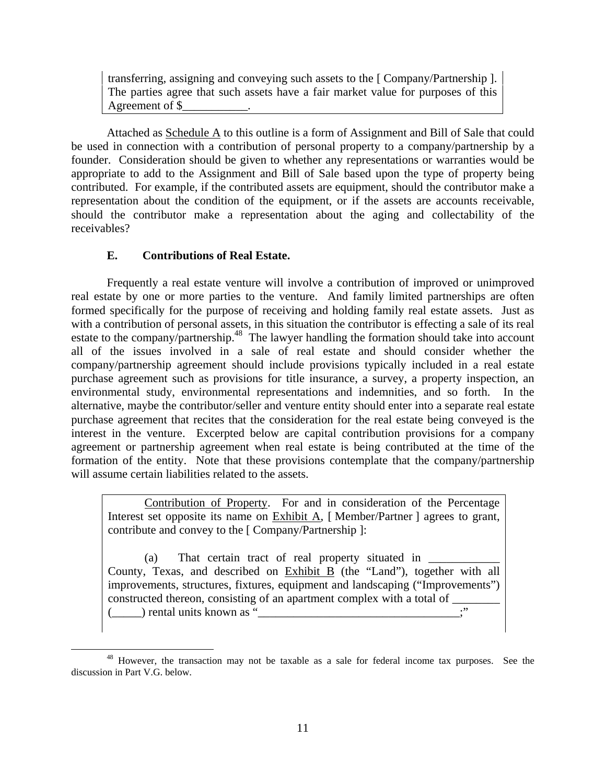transferring, assigning and conveying such assets to the [ Company/Partnership ]. The parties agree that such assets have a fair market value for purposes of this Agreement of \$\_\_\_\_\_\_\_\_\_\_\_.

Attached as Schedule A to this outline is a form of Assignment and Bill of Sale that could be used in connection with a contribution of personal property to a company/partnership by a founder. Consideration should be given to whether any representations or warranties would be appropriate to add to the Assignment and Bill of Sale based upon the type of property being contributed. For example, if the contributed assets are equipment, should the contributor make a representation about the condition of the equipment, or if the assets are accounts receivable, should the contributor make a representation about the aging and collectability of the receivables?

# **E. Contributions of Real Estate.**

Frequently a real estate venture will involve a contribution of improved or unimproved real estate by one or more parties to the venture. And family limited partnerships are often formed specifically for the purpose of receiving and holding family real estate assets. Just as with a contribution of personal assets, in this situation the contributor is effecting a sale of its real estate to the company/partnership.<sup>48</sup> The lawyer handling the formation should take into account all of the issues involved in a sale of real estate and should consider whether the company/partnership agreement should include provisions typically included in a real estate purchase agreement such as provisions for title insurance, a survey, a property inspection, an environmental study, environmental representations and indemnities, and so forth. In the alternative, maybe the contributor/seller and venture entity should enter into a separate real estate purchase agreement that recites that the consideration for the real estate being conveyed is the interest in the venture. Excerpted below are capital contribution provisions for a company agreement or partnership agreement when real estate is being contributed at the time of the formation of the entity. Note that these provisions contemplate that the company/partnership will assume certain liabilities related to the assets.

Contribution of Property. For and in consideration of the Percentage Interest set opposite its name on Exhibit A, [Member/Partner ] agrees to grant, contribute and convey to the [ Company/Partnership ]:

(a) That certain tract of real property situated in  $\qquad$ County, Texas, and described on Exhibit B (the "Land"), together with all improvements, structures, fixtures, equipment and landscaping ("Improvements") constructed thereon, consisting of an apartment complex with a total of  $(\_\_$ ) rental units known as " $\_\_$ 

<sup>&</sup>lt;sup>48</sup> However, the transaction may not be taxable as a sale for federal income tax purposes. See the discussion in Part V.G. below.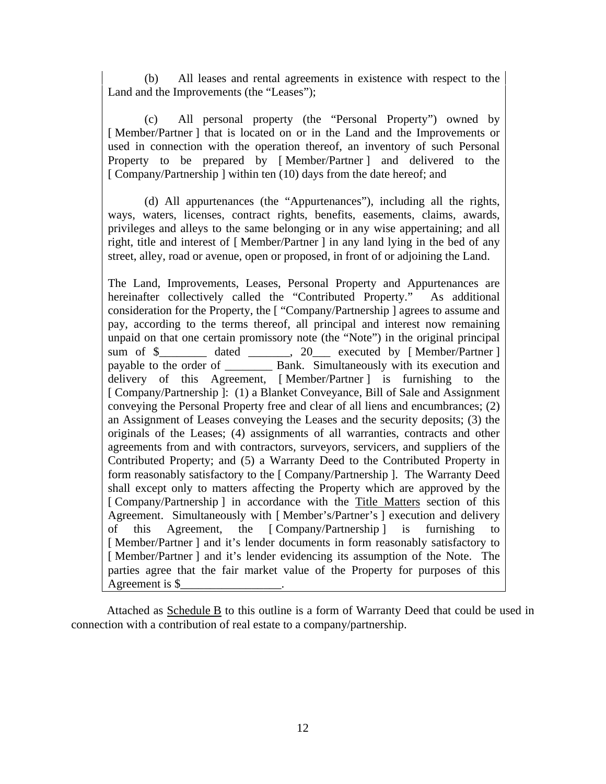(b) All leases and rental agreements in existence with respect to the Land and the Improvements (the "Leases");

(c) All personal property (the "Personal Property") owned by [Member/Partner] that is located on or in the Land and the Improvements or used in connection with the operation thereof, an inventory of such Personal Property to be prepared by [ Member/Partner ] and delivered to the [ Company/Partnership ] within ten (10) days from the date hereof; and

(d) All appurtenances (the "Appurtenances"), including all the rights, ways, waters, licenses, contract rights, benefits, easements, claims, awards, privileges and alleys to the same belonging or in any wise appertaining; and all right, title and interest of [ Member/Partner ] in any land lying in the bed of any street, alley, road or avenue, open or proposed, in front of or adjoining the Land.

The Land, Improvements, Leases, Personal Property and Appurtenances are hereinafter collectively called the "Contributed Property." As additional consideration for the Property, the [ "Company/Partnership ] agrees to assume and pay, according to the terms thereof, all principal and interest now remaining unpaid on that one certain promissory note (the "Note") in the original principal sum of \$\_\_\_\_\_\_\_\_ dated \_\_\_\_\_\_, 20\_\_\_ executed by [Member/Partner ] payable to the order of **Bank.** Simultaneously with its execution and delivery of this Agreement, [ Member/Partner ] is furnishing to the [ Company/Partnership ]: (1) a Blanket Conveyance, Bill of Sale and Assignment conveying the Personal Property free and clear of all liens and encumbrances; (2) an Assignment of Leases conveying the Leases and the security deposits; (3) the originals of the Leases; (4) assignments of all warranties, contracts and other agreements from and with contractors, surveyors, servicers, and suppliers of the Contributed Property; and (5) a Warranty Deed to the Contributed Property in form reasonably satisfactory to the [ Company/Partnership ]. The Warranty Deed shall except only to matters affecting the Property which are approved by the [ Company/Partnership ] in accordance with the Title Matters section of this Agreement. Simultaneously with [ Member's/Partner's ] execution and delivery of this Agreement, the [ Company/Partnership ] is furnishing to [Member/Partner ] and it's lender documents in form reasonably satisfactory to [Member/Partner ] and it's lender evidencing its assumption of the Note. The parties agree that the fair market value of the Property for purposes of this Agreement is \$\_\_\_\_\_\_\_\_\_\_\_\_\_\_\_\_\_.

Attached as Schedule B to this outline is a form of Warranty Deed that could be used in connection with a contribution of real estate to a company/partnership.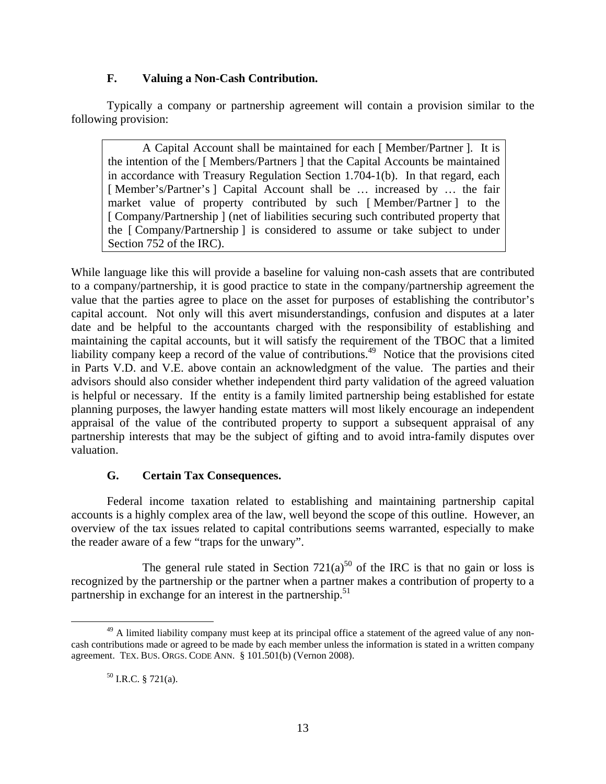# **F. Valuing a Non-Cash Contribution.**

Typically a company or partnership agreement will contain a provision similar to the following provision:

A Capital Account shall be maintained for each [ Member/Partner ]. It is the intention of the [ Members/Partners ] that the Capital Accounts be maintained in accordance with Treasury Regulation Section 1.704-1(b). In that regard, each [Member's/Partner's ] Capital Account shall be ... increased by ... the fair market value of property contributed by such [ Member/Partner ] to the [ Company/Partnership ] (net of liabilities securing such contributed property that the [ Company/Partnership ] is considered to assume or take subject to under Section 752 of the IRC).

While language like this will provide a baseline for valuing non-cash assets that are contributed to a company/partnership, it is good practice to state in the company/partnership agreement the value that the parties agree to place on the asset for purposes of establishing the contributor's capital account. Not only will this avert misunderstandings, confusion and disputes at a later date and be helpful to the accountants charged with the responsibility of establishing and maintaining the capital accounts, but it will satisfy the requirement of the TBOC that a limited liability company keep a record of the value of contributions.<sup>49</sup> Notice that the provisions cited in Parts V.D. and V.E. above contain an acknowledgment of the value. The parties and their advisors should also consider whether independent third party validation of the agreed valuation is helpful or necessary. If the entity is a family limited partnership being established for estate planning purposes, the lawyer handing estate matters will most likely encourage an independent appraisal of the value of the contributed property to support a subsequent appraisal of any partnership interests that may be the subject of gifting and to avoid intra-family disputes over valuation.

# **G. Certain Tax Consequences.**

Federal income taxation related to establishing and maintaining partnership capital accounts is a highly complex area of the law, well beyond the scope of this outline. However, an overview of the tax issues related to capital contributions seems warranted, especially to make the reader aware of a few "traps for the unwary".

The general rule stated in Section  $721(a)^{50}$  of the IRC is that no gain or loss is recognized by the partnership or the partner when a partner makes a contribution of property to a partnership in exchange for an interest in the partnership.<sup>51</sup>

<sup>&</sup>lt;sup>49</sup> A limited liability company must keep at its principal office a statement of the agreed value of any noncash contributions made or agreed to be made by each member unless the information is stated in a written company agreement. TEX. BUS. ORGS. CODE ANN. § 101.501(b) (Vernon 2008).

 $50$  I.R.C. § 721(a).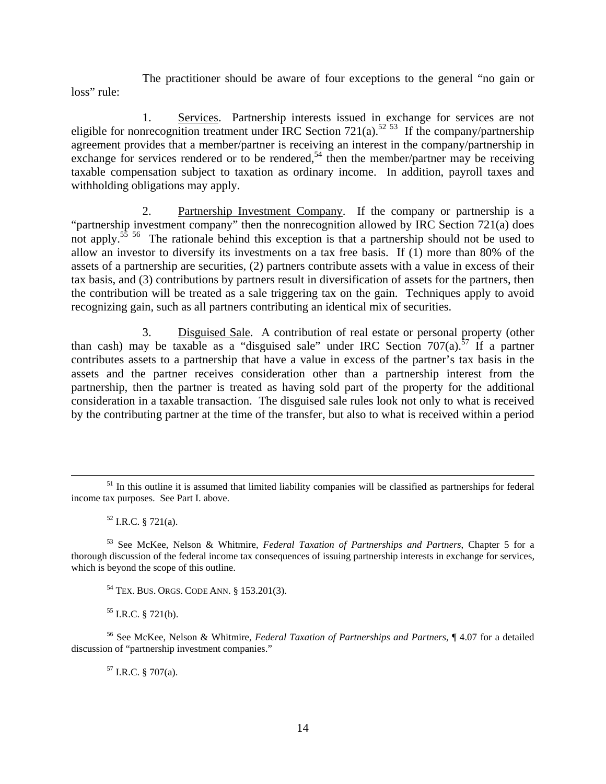The practitioner should be aware of four exceptions to the general "no gain or loss" rule:

 1. Services. Partnership interests issued in exchange for services are not eligible for nonrecognition treatment under IRC Section 721(a).<sup>52 53</sup> If the company/partnership agreement provides that a member/partner is receiving an interest in the company/partnership in exchange for services rendered or to be rendered,<sup>54</sup> then the member/partner may be receiving taxable compensation subject to taxation as ordinary income. In addition, payroll taxes and withholding obligations may apply.

 2. Partnership Investment Company. If the company or partnership is a "partnership investment company" then the nonrecognition allowed by IRC Section 721(a) does not apply.<sup>55</sup> <sup>56</sup> The rationale behind this exception is that a partnership should not be used to allow an investor to diversify its investments on a tax free basis. If (1) more than 80% of the assets of a partnership are securities, (2) partners contribute assets with a value in excess of their tax basis, and (3) contributions by partners result in diversification of assets for the partners, then the contribution will be treated as a sale triggering tax on the gain. Techniques apply to avoid recognizing gain, such as all partners contributing an identical mix of securities.

 3. Disguised Sale. A contribution of real estate or personal property (other than cash) may be taxable as a "disguised sale" under IRC Section  $707(a)$ .<sup>57</sup> If a partner contributes assets to a partnership that have a value in excess of the partner's tax basis in the assets and the partner receives consideration other than a partnership interest from the partnership, then the partner is treated as having sold part of the property for the additional consideration in a taxable transaction. The disguised sale rules look not only to what is received by the contributing partner at the time of the transfer, but also to what is received within a period

 $55$  I.R.C. § 721(b).

56 See McKee, Nelson & Whitmire, *Federal Taxation of Partnerships and Partners*, ¶ 4.07 for a detailed discussion of "partnership investment companies."

 $57$  I.R.C. § 707(a).

<sup>&</sup>lt;sup>51</sup> In this outline it is assumed that limited liability companies will be classified as partnerships for federal income tax purposes. See Part I. above.

 $52$  I.R.C. § 721(a).

<sup>53</sup> See McKee, Nelson & Whitmire, *Federal Taxation of Partnerships and Partners*, Chapter 5 for a thorough discussion of the federal income tax consequences of issuing partnership interests in exchange for services, which is beyond the scope of this outline.

<sup>54</sup> TEX. BUS. ORGS. CODE ANN. § 153.201(3).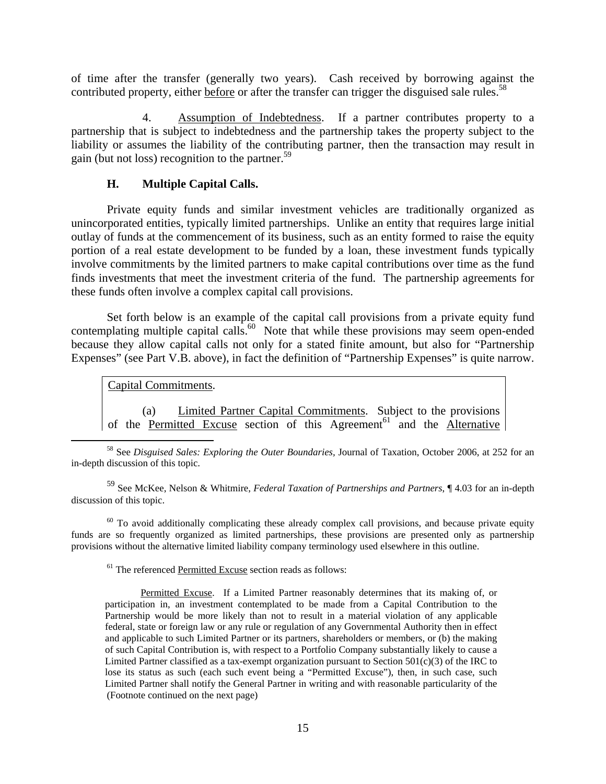of time after the transfer (generally two years). Cash received by borrowing against the contributed property, either before or after the transfer can trigger the disguised sale rules.<sup>58</sup>

 4. Assumption of Indebtedness. If a partner contributes property to a partnership that is subject to indebtedness and the partnership takes the property subject to the liability or assumes the liability of the contributing partner, then the transaction may result in gain (but not loss) recognition to the partner.59

## **H. Multiple Capital Calls.**

Private equity funds and similar investment vehicles are traditionally organized as unincorporated entities, typically limited partnerships. Unlike an entity that requires large initial outlay of funds at the commencement of its business, such as an entity formed to raise the equity portion of a real estate development to be funded by a loan, these investment funds typically involve commitments by the limited partners to make capital contributions over time as the fund finds investments that meet the investment criteria of the fund. The partnership agreements for these funds often involve a complex capital call provisions.

Set forth below is an example of the capital call provisions from a private equity fund contemplating multiple capital calls.<sup>60</sup> Note that while these provisions may seem open-ended because they allow capital calls not only for a stated finite amount, but also for "Partnership Expenses" (see Part V.B. above), in fact the definition of "Partnership Expenses" is quite narrow.

Capital Commitments.

(a) Limited Partner Capital Commitments. Subject to the provisions of the Permitted Excuse section of this Agreement<sup>61</sup> and the Alternative

 58 See *Disguised Sales: Exploring the Outer Boundaries,* Journal of Taxation, October 2006, at 252 for an in-depth discussion of this topic.

59 See McKee, Nelson & Whitmire, *Federal Taxation of Partnerships and Partners*, ¶ 4.03 for an in-depth discussion of this topic.

 $60$  To avoid additionally complicating these already complex call provisions, and because private equity funds are so frequently organized as limited partnerships, these provisions are presented only as partnership provisions without the alternative limited liability company terminology used elsewhere in this outline.

<sup>61</sup> The referenced Permitted Excuse section reads as follows:

Permitted Excuse. If a Limited Partner reasonably determines that its making of, or participation in, an investment contemplated to be made from a Capital Contribution to the Partnership would be more likely than not to result in a material violation of any applicable federal, state or foreign law or any rule or regulation of any Governmental Authority then in effect and applicable to such Limited Partner or its partners, shareholders or members, or (b) the making of such Capital Contribution is, with respect to a Portfolio Company substantially likely to cause a Limited Partner classified as a tax-exempt organization pursuant to Section 501(c)(3) of the IRC to lose its status as such (each such event being a "Permitted Excuse"), then, in such case, such Limited Partner shall notify the General Partner in writing and with reasonable particularity of the (Footnote continued on the next page)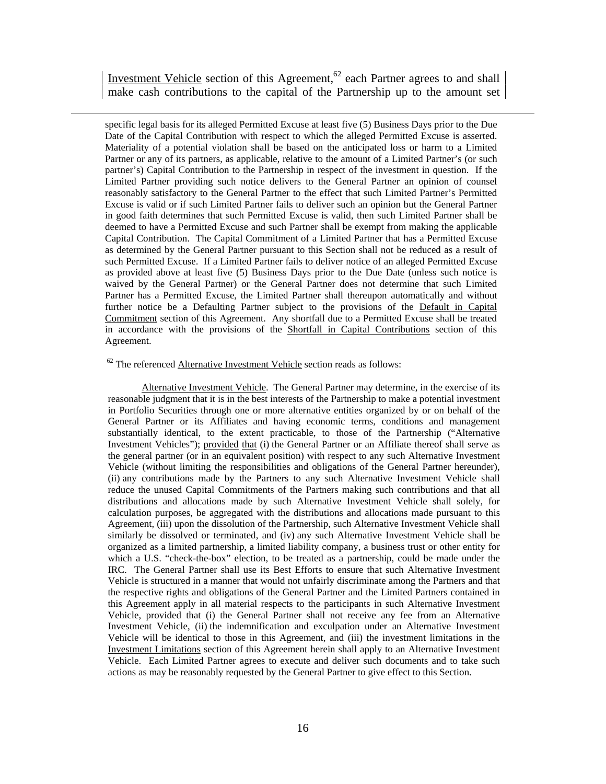Investment Vehicle section of this Agreement,<sup>62</sup> each Partner agrees to and shall make cash contributions to the capital of the Partnership up to the amount set

 specific legal basis for its alleged Permitted Excuse at least five (5) Business Days prior to the Due Date of the Capital Contribution with respect to which the alleged Permitted Excuse is asserted. Materiality of a potential violation shall be based on the anticipated loss or harm to a Limited Partner or any of its partners, as applicable, relative to the amount of a Limited Partner's (or such partner's) Capital Contribution to the Partnership in respect of the investment in question. If the Limited Partner providing such notice delivers to the General Partner an opinion of counsel reasonably satisfactory to the General Partner to the effect that such Limited Partner's Permitted Excuse is valid or if such Limited Partner fails to deliver such an opinion but the General Partner in good faith determines that such Permitted Excuse is valid, then such Limited Partner shall be deemed to have a Permitted Excuse and such Partner shall be exempt from making the applicable Capital Contribution. The Capital Commitment of a Limited Partner that has a Permitted Excuse as determined by the General Partner pursuant to this Section shall not be reduced as a result of such Permitted Excuse. If a Limited Partner fails to deliver notice of an alleged Permitted Excuse as provided above at least five (5) Business Days prior to the Due Date (unless such notice is waived by the General Partner) or the General Partner does not determine that such Limited Partner has a Permitted Excuse, the Limited Partner shall thereupon automatically and without further notice be a Defaulting Partner subject to the provisions of the Default in Capital Commitment section of this Agreement. Any shortfall due to a Permitted Excuse shall be treated in accordance with the provisions of the Shortfall in Capital Contributions section of this Agreement.

#### $62$  The referenced Alternative Investment Vehicle section reads as follows:

Alternative Investment Vehicle. The General Partner may determine, in the exercise of its reasonable judgment that it is in the best interests of the Partnership to make a potential investment in Portfolio Securities through one or more alternative entities organized by or on behalf of the General Partner or its Affiliates and having economic terms, conditions and management substantially identical, to the extent practicable, to those of the Partnership ("Alternative Investment Vehicles"); provided that (i) the General Partner or an Affiliate thereof shall serve as the general partner (or in an equivalent position) with respect to any such Alternative Investment Vehicle (without limiting the responsibilities and obligations of the General Partner hereunder), (ii) any contributions made by the Partners to any such Alternative Investment Vehicle shall reduce the unused Capital Commitments of the Partners making such contributions and that all distributions and allocations made by such Alternative Investment Vehicle shall solely, for calculation purposes, be aggregated with the distributions and allocations made pursuant to this Agreement, (iii) upon the dissolution of the Partnership, such Alternative Investment Vehicle shall similarly be dissolved or terminated, and (iv) any such Alternative Investment Vehicle shall be organized as a limited partnership, a limited liability company, a business trust or other entity for which a U.S. "check-the-box" election, to be treated as a partnership, could be made under the IRC. The General Partner shall use its Best Efforts to ensure that such Alternative Investment Vehicle is structured in a manner that would not unfairly discriminate among the Partners and that the respective rights and obligations of the General Partner and the Limited Partners contained in this Agreement apply in all material respects to the participants in such Alternative Investment Vehicle, provided that (i) the General Partner shall not receive any fee from an Alternative Investment Vehicle, (ii) the indemnification and exculpation under an Alternative Investment Vehicle will be identical to those in this Agreement, and (iii) the investment limitations in the Investment Limitations section of this Agreement herein shall apply to an Alternative Investment Vehicle. Each Limited Partner agrees to execute and deliver such documents and to take such actions as may be reasonably requested by the General Partner to give effect to this Section.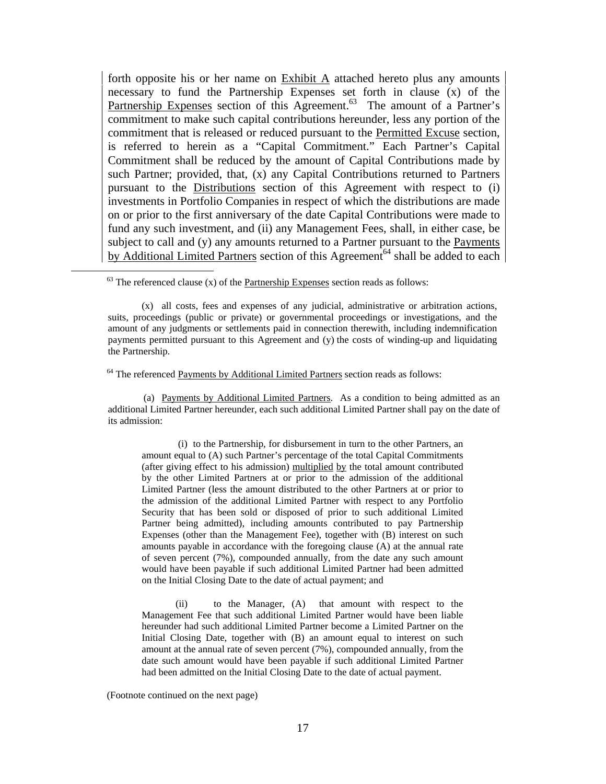forth opposite his or her name on  $\overline{\text{Exhibit A}}$  attached hereto plus any amounts necessary to fund the Partnership Expenses set forth in clause (x) of the Partnership Expenses section of this Agreement.<sup>63</sup> The amount of a Partner's commitment to make such capital contributions hereunder, less any portion of the commitment that is released or reduced pursuant to the Permitted Excuse section, is referred to herein as a "Capital Commitment." Each Partner's Capital Commitment shall be reduced by the amount of Capital Contributions made by such Partner; provided, that, (x) any Capital Contributions returned to Partners pursuant to the Distributions section of this Agreement with respect to (i) investments in Portfolio Companies in respect of which the distributions are made on or prior to the first anniversary of the date Capital Contributions were made to fund any such investment, and (ii) any Management Fees, shall, in either case, be subject to call and (y) any amounts returned to a Partner pursuant to the Payments by Additional Limited Partners section of this Agreement<sup>64</sup> shall be added to each

 $63$  The referenced clause (x) of the **Partnership Expenses** section reads as follows:

 $64$  The referenced Payments by Additional Limited Partners section reads as follows:

(a) Payments by Additional Limited Partners. As a condition to being admitted as an additional Limited Partner hereunder, each such additional Limited Partner shall pay on the date of its admission:

 (i) to the Partnership, for disbursement in turn to the other Partners, an amount equal to (A) such Partner's percentage of the total Capital Commitments (after giving effect to his admission) multiplied by the total amount contributed by the other Limited Partners at or prior to the admission of the additional Limited Partner (less the amount distributed to the other Partners at or prior to the admission of the additional Limited Partner with respect to any Portfolio Security that has been sold or disposed of prior to such additional Limited Partner being admitted), including amounts contributed to pay Partnership Expenses (other than the Management Fee), together with (B) interest on such amounts payable in accordance with the foregoing clause (A) at the annual rate of seven percent (7%), compounded annually, from the date any such amount would have been payable if such additional Limited Partner had been admitted on the Initial Closing Date to the date of actual payment; and

(ii) to the Manager, (A) that amount with respect to the Management Fee that such additional Limited Partner would have been liable hereunder had such additional Limited Partner become a Limited Partner on the Initial Closing Date, together with (B) an amount equal to interest on such amount at the annual rate of seven percent (7%), compounded annually, from the date such amount would have been payable if such additional Limited Partner had been admitted on the Initial Closing Date to the date of actual payment.

(Footnote continued on the next page)

<sup>(</sup>x) all costs, fees and expenses of any judicial, administrative or arbitration actions, suits, proceedings (public or private) or governmental proceedings or investigations, and the amount of any judgments or settlements paid in connection therewith, including indemnification payments permitted pursuant to this Agreement and (y) the costs of winding-up and liquidating the Partnership.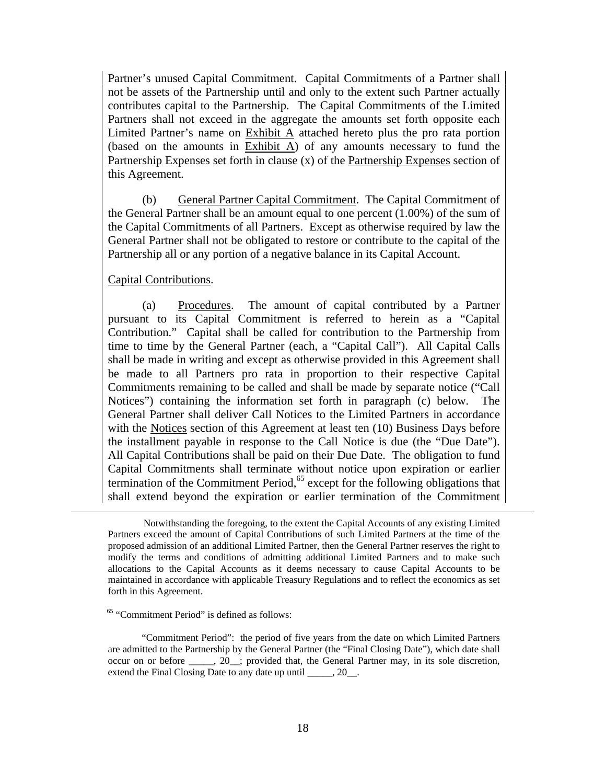Partner's unused Capital Commitment. Capital Commitments of a Partner shall not be assets of the Partnership until and only to the extent such Partner actually contributes capital to the Partnership. The Capital Commitments of the Limited Partners shall not exceed in the aggregate the amounts set forth opposite each Limited Partner's name on  $Exhibit A$  attached hereto plus the pro rata portion (based on the amounts in  $Exhibit A$ ) of any amounts necessary to fund the Partnership Expenses set forth in clause (x) of the Partnership Expenses section of this Agreement.

(b) General Partner Capital Commitment. The Capital Commitment of the General Partner shall be an amount equal to one percent (1.00%) of the sum of the Capital Commitments of all Partners. Except as otherwise required by law the General Partner shall not be obligated to restore or contribute to the capital of the Partnership all or any portion of a negative balance in its Capital Account.

## Capital Contributions.

(a) Procedures. The amount of capital contributed by a Partner pursuant to its Capital Commitment is referred to herein as a "Capital Contribution." Capital shall be called for contribution to the Partnership from time to time by the General Partner (each, a "Capital Call"). All Capital Calls shall be made in writing and except as otherwise provided in this Agreement shall be made to all Partners pro rata in proportion to their respective Capital Commitments remaining to be called and shall be made by separate notice ("Call Notices") containing the information set forth in paragraph (c) below. The General Partner shall deliver Call Notices to the Limited Partners in accordance with the Notices section of this Agreement at least ten (10) Business Days before the installment payable in response to the Call Notice is due (the "Due Date"). All Capital Contributions shall be paid on their Due Date. The obligation to fund Capital Commitments shall terminate without notice upon expiration or earlier termination of the Commitment Period, $65$  except for the following obligations that shall extend beyond the expiration or earlier termination of the Commitment

 Notwithstanding the foregoing, to the extent the Capital Accounts of any existing Limited Partners exceed the amount of Capital Contributions of such Limited Partners at the time of the proposed admission of an additional Limited Partner, then the General Partner reserves the right to modify the terms and conditions of admitting additional Limited Partners and to make such allocations to the Capital Accounts as it deems necessary to cause Capital Accounts to be maintained in accordance with applicable Treasury Regulations and to reflect the economics as set forth in this Agreement.

65 "Commitment Period" is defined as follows:

"Commitment Period": the period of five years from the date on which Limited Partners are admitted to the Partnership by the General Partner (the "Final Closing Date"), which date shall occur on or before  $\qquad$ , 20 ; provided that, the General Partner may, in its sole discretion, extend the Final Closing Date to any date up until \_\_\_\_\_, 20\_\_.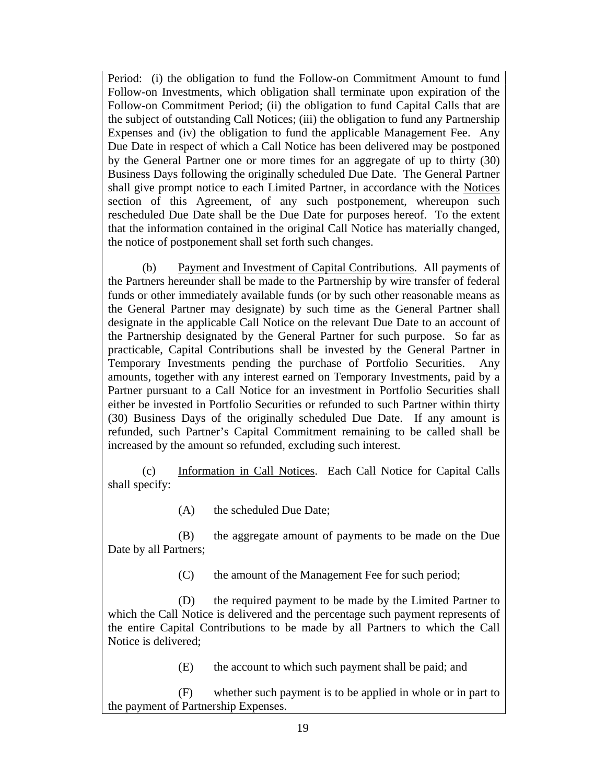Period: (i) the obligation to fund the Follow-on Commitment Amount to fund Follow-on Investments, which obligation shall terminate upon expiration of the Follow-on Commitment Period; (ii) the obligation to fund Capital Calls that are the subject of outstanding Call Notices; (iii) the obligation to fund any Partnership Expenses and (iv) the obligation to fund the applicable Management Fee. Any Due Date in respect of which a Call Notice has been delivered may be postponed by the General Partner one or more times for an aggregate of up to thirty (30) Business Days following the originally scheduled Due Date. The General Partner shall give prompt notice to each Limited Partner, in accordance with the Notices section of this Agreement, of any such postponement, whereupon such rescheduled Due Date shall be the Due Date for purposes hereof. To the extent that the information contained in the original Call Notice has materially changed, the notice of postponement shall set forth such changes.

(b) Payment and Investment of Capital Contributions. All payments of the Partners hereunder shall be made to the Partnership by wire transfer of federal funds or other immediately available funds (or by such other reasonable means as the General Partner may designate) by such time as the General Partner shall designate in the applicable Call Notice on the relevant Due Date to an account of the Partnership designated by the General Partner for such purpose. So far as practicable, Capital Contributions shall be invested by the General Partner in Temporary Investments pending the purchase of Portfolio Securities. Any amounts, together with any interest earned on Temporary Investments, paid by a Partner pursuant to a Call Notice for an investment in Portfolio Securities shall either be invested in Portfolio Securities or refunded to such Partner within thirty (30) Business Days of the originally scheduled Due Date. If any amount is refunded, such Partner's Capital Commitment remaining to be called shall be increased by the amount so refunded, excluding such interest.

(c) Information in Call Notices. Each Call Notice for Capital Calls shall specify:

(A) the scheduled Due Date;

(B) the aggregate amount of payments to be made on the Due Date by all Partners;

(C) the amount of the Management Fee for such period;

(D) the required payment to be made by the Limited Partner to which the Call Notice is delivered and the percentage such payment represents of the entire Capital Contributions to be made by all Partners to which the Call Notice is delivered;

(E) the account to which such payment shall be paid; and

(F) whether such payment is to be applied in whole or in part to the payment of Partnership Expenses.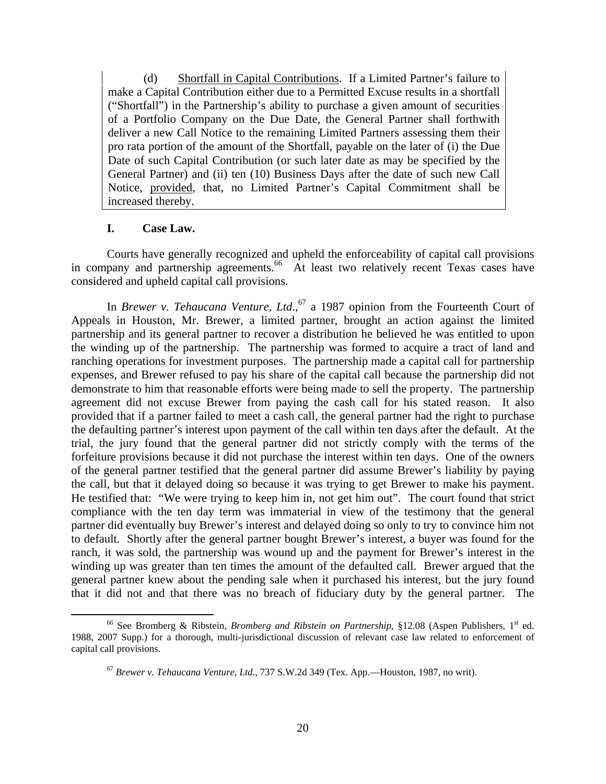(d) Shortfall in Capital Contributions. If a Limited Partner's failure to make a Capital Contribution either due to a Permitted Excuse results in a shortfall ("Shortfall") in the Partnership's ability to purchase a given amount of securities of a Portfolio Company on the Due Date, the General Partner shall forthwith deliver a new Call Notice to the remaining Limited Partners assessing them their pro rata portion of the amount of the Shortfall, payable on the later of (i) the Due Date of such Capital Contribution (or such later date as may be specified by the General Partner) and (ii) ten (10) Business Days after the date of such new Call Notice, provided, that, no Limited Partner's Capital Commitment shall be increased thereby.

# **I. Case Law.**

Courts have generally recognized and upheld the enforceability of capital call provisions in company and partnership agreements.<sup>66</sup> At least two relatively recent Texas cases have considered and upheld capital call provisions.

In *Brewer v. Tehaucana Venture, Ltd.*,<sup>67</sup> a 1987 opinion from the Fourteenth Court of Appeals in Houston, Mr. Brewer, a limited partner, brought an action against the limited partnership and its general partner to recover a distribution he believed he was entitled to upon the winding up of the partnership. The partnership was formed to acquire a tract of land and ranching operations for investment purposes. The partnership made a capital call for partnership expenses, and Brewer refused to pay his share of the capital call because the partnership did not demonstrate to him that reasonable efforts were being made to sell the property. The partnership agreement did not excuse Brewer from paying the cash call for his stated reason. It also provided that if a partner failed to meet a cash call, the general partner had the right to purchase the defaulting partner's interest upon payment of the call within ten days after the default. At the trial, the jury found that the general partner did not strictly comply with the terms of the forfeiture provisions because it did not purchase the interest within ten days. One of the owners of the general partner testified that the general partner did assume Brewer's liability by paying the call, but that it delayed doing so because it was trying to get Brewer to make his payment. He testified that: "We were trying to keep him in, not get him out". The court found that strict compliance with the ten day term was immaterial in view of the testimony that the general partner did eventually buy Brewer's interest and delayed doing so only to try to convince him not to default. Shortly after the general partner bought Brewer's interest, a buyer was found for the ranch, it was sold, the partnership was wound up and the payment for Brewer's interest in the winding up was greater than ten times the amount of the defaulted call. Brewer argued that the general partner knew about the pending sale when it purchased his interest, but the jury found that it did not and that there was no breach of fiduciary duty by the general partner. The

<sup>&</sup>lt;sup>66</sup> See Bromberg & Ribstein, *Bromberg and Ribstein on Partnership*, §12.08 (Aspen Publishers, 1<sup>st</sup> ed. 1988, 2007 Supp.) for a thorough, multi-jurisdictional discussion of relevant case law related to enforcement of capital call provisions.

<sup>67</sup> *Brewer v. Tehaucana Venture, Ltd.*, 737 S.W.2d 349 (Tex. App.—Houston, 1987, no writ).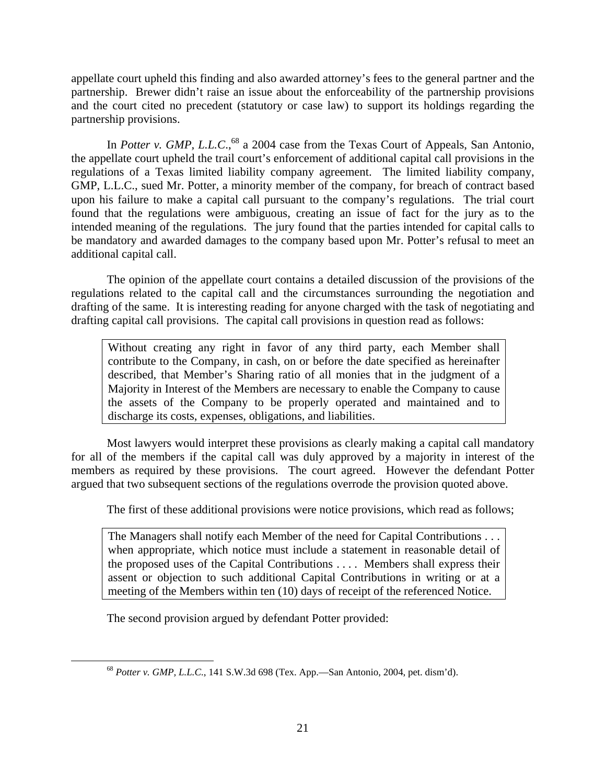appellate court upheld this finding and also awarded attorney's fees to the general partner and the partnership. Brewer didn't raise an issue about the enforceability of the partnership provisions and the court cited no precedent (statutory or case law) to support its holdings regarding the partnership provisions.

In *Potter v. GMP, L.L.C.*,<sup>68</sup> a 2004 case from the Texas Court of Appeals, San Antonio, the appellate court upheld the trail court's enforcement of additional capital call provisions in the regulations of a Texas limited liability company agreement. The limited liability company, GMP, L.L.C., sued Mr. Potter, a minority member of the company, for breach of contract based upon his failure to make a capital call pursuant to the company's regulations. The trial court found that the regulations were ambiguous, creating an issue of fact for the jury as to the intended meaning of the regulations. The jury found that the parties intended for capital calls to be mandatory and awarded damages to the company based upon Mr. Potter's refusal to meet an additional capital call.

The opinion of the appellate court contains a detailed discussion of the provisions of the regulations related to the capital call and the circumstances surrounding the negotiation and drafting of the same. It is interesting reading for anyone charged with the task of negotiating and drafting capital call provisions. The capital call provisions in question read as follows:

Without creating any right in favor of any third party, each Member shall contribute to the Company, in cash, on or before the date specified as hereinafter described, that Member's Sharing ratio of all monies that in the judgment of a Majority in Interest of the Members are necessary to enable the Company to cause the assets of the Company to be properly operated and maintained and to discharge its costs, expenses, obligations, and liabilities.

 Most lawyers would interpret these provisions as clearly making a capital call mandatory for all of the members if the capital call was duly approved by a majority in interest of the members as required by these provisions. The court agreed. However the defendant Potter argued that two subsequent sections of the regulations overrode the provision quoted above.

The first of these additional provisions were notice provisions, which read as follows;

The Managers shall notify each Member of the need for Capital Contributions . . . when appropriate, which notice must include a statement in reasonable detail of the proposed uses of the Capital Contributions . . . . Members shall express their assent or objection to such additional Capital Contributions in writing or at a meeting of the Members within ten (10) days of receipt of the referenced Notice.

The second provision argued by defendant Potter provided:

 <sup>68</sup> *Potter v. GMP, L.L.C.*, 141 S.W.3d 698 (Tex. App.—San Antonio, 2004, pet. dism'd).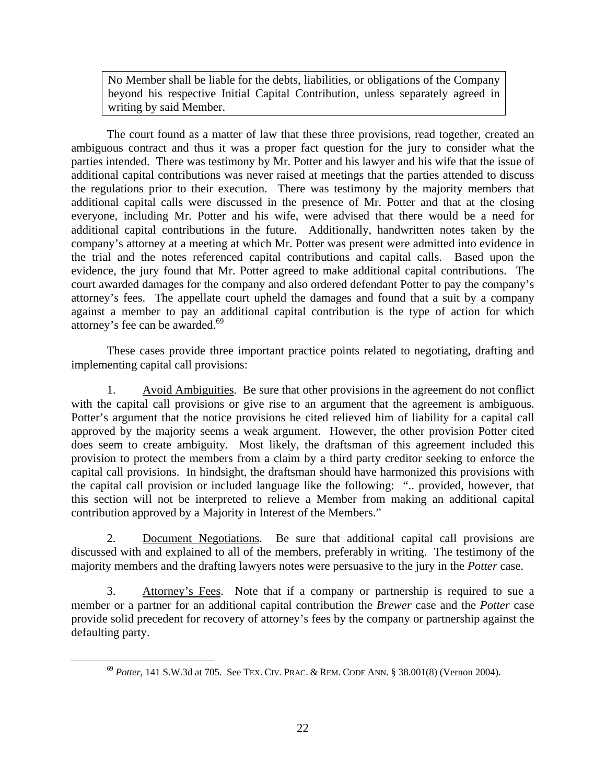No Member shall be liable for the debts, liabilities, or obligations of the Company beyond his respective Initial Capital Contribution, unless separately agreed in writing by said Member.

 The court found as a matter of law that these three provisions, read together, created an ambiguous contract and thus it was a proper fact question for the jury to consider what the parties intended. There was testimony by Mr. Potter and his lawyer and his wife that the issue of additional capital contributions was never raised at meetings that the parties attended to discuss the regulations prior to their execution. There was testimony by the majority members that additional capital calls were discussed in the presence of Mr. Potter and that at the closing everyone, including Mr. Potter and his wife, were advised that there would be a need for additional capital contributions in the future. Additionally, handwritten notes taken by the company's attorney at a meeting at which Mr. Potter was present were admitted into evidence in the trial and the notes referenced capital contributions and capital calls. Based upon the evidence, the jury found that Mr. Potter agreed to make additional capital contributions. The court awarded damages for the company and also ordered defendant Potter to pay the company's attorney's fees. The appellate court upheld the damages and found that a suit by a company against a member to pay an additional capital contribution is the type of action for which attorney's fee can be awarded.<sup>69</sup>

 These cases provide three important practice points related to negotiating, drafting and implementing capital call provisions:

 1. Avoid Ambiguities. Be sure that other provisions in the agreement do not conflict with the capital call provisions or give rise to an argument that the agreement is ambiguous. Potter's argument that the notice provisions he cited relieved him of liability for a capital call approved by the majority seems a weak argument. However, the other provision Potter cited does seem to create ambiguity. Most likely, the draftsman of this agreement included this provision to protect the members from a claim by a third party creditor seeking to enforce the capital call provisions. In hindsight, the draftsman should have harmonized this provisions with the capital call provision or included language like the following: ".. provided, however, that this section will not be interpreted to relieve a Member from making an additional capital contribution approved by a Majority in Interest of the Members."

 2. Document Negotiations. Be sure that additional capital call provisions are discussed with and explained to all of the members, preferably in writing. The testimony of the majority members and the drafting lawyers notes were persuasive to the jury in the *Potter* case.

3. Attorney's Fees. Note that if a company or partnership is required to sue a member or a partner for an additional capital contribution the *Brewer* case and the *Potter* case provide solid precedent for recovery of attorney's fees by the company or partnership against the defaulting party.

 <sup>69</sup> *Potter*, 141 S.W.3d at 705. See TEX. CIV. PRAC. & REM. CODE ANN. § 38.001(8) (Vernon 2004).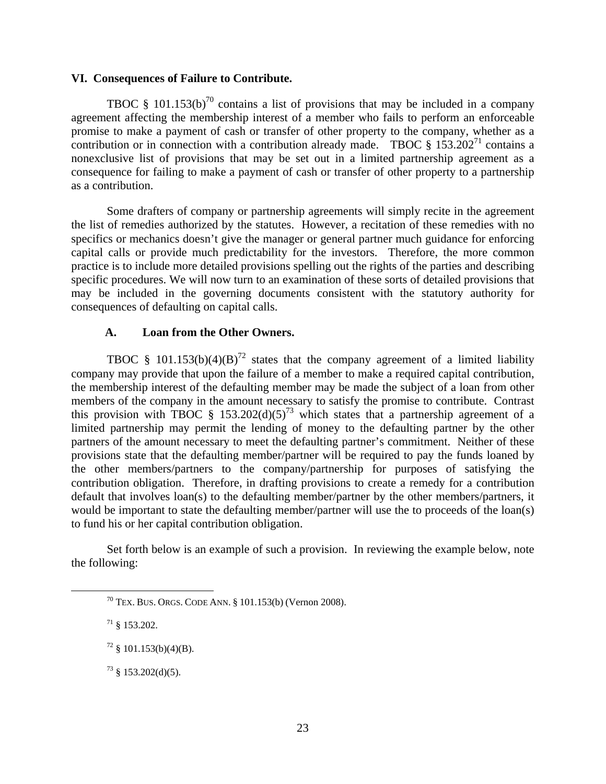#### **VI. Consequences of Failure to Contribute.**

TBOC § 101.153(b)<sup>70</sup> contains a list of provisions that may be included in a company agreement affecting the membership interest of a member who fails to perform an enforceable promise to make a payment of cash or transfer of other property to the company, whether as a contribution or in connection with a contribution already made. TBOC  $\S 153.202^{71}$  contains a nonexclusive list of provisions that may be set out in a limited partnership agreement as a consequence for failing to make a payment of cash or transfer of other property to a partnership as a contribution.

Some drafters of company or partnership agreements will simply recite in the agreement the list of remedies authorized by the statutes. However, a recitation of these remedies with no specifics or mechanics doesn't give the manager or general partner much guidance for enforcing capital calls or provide much predictability for the investors. Therefore, the more common practice is to include more detailed provisions spelling out the rights of the parties and describing specific procedures. We will now turn to an examination of these sorts of detailed provisions that may be included in the governing documents consistent with the statutory authority for consequences of defaulting on capital calls.

## **A. Loan from the Other Owners.**

TBOC § 101.153(b)(4)(B)<sup>72</sup> states that the company agreement of a limited liability company may provide that upon the failure of a member to make a required capital contribution, the membership interest of the defaulting member may be made the subject of a loan from other members of the company in the amount necessary to satisfy the promise to contribute. Contrast this provision with TBOC § 153.202(d)(5)<sup>73</sup> which states that a partnership agreement of a limited partnership may permit the lending of money to the defaulting partner by the other partners of the amount necessary to meet the defaulting partner's commitment. Neither of these provisions state that the defaulting member/partner will be required to pay the funds loaned by the other members/partners to the company/partnership for purposes of satisfying the contribution obligation. Therefore, in drafting provisions to create a remedy for a contribution default that involves loan(s) to the defaulting member/partner by the other members/partners, it would be important to state the defaulting member/partner will use the to proceeds of the loan(s) to fund his or her capital contribution obligation.

Set forth below is an example of such a provision. In reviewing the example below, note the following:

 $70$  TEX. BUS. ORGS. CODE ANN. § 101.153(b) (Vernon 2008).

 $71 \& 153.202.$ 

 $72 \text{ } \frac{\text{}}{2}$  101.153(b)(4)(B).

 $73 \text{ }$  \$ 153.202(d)(5).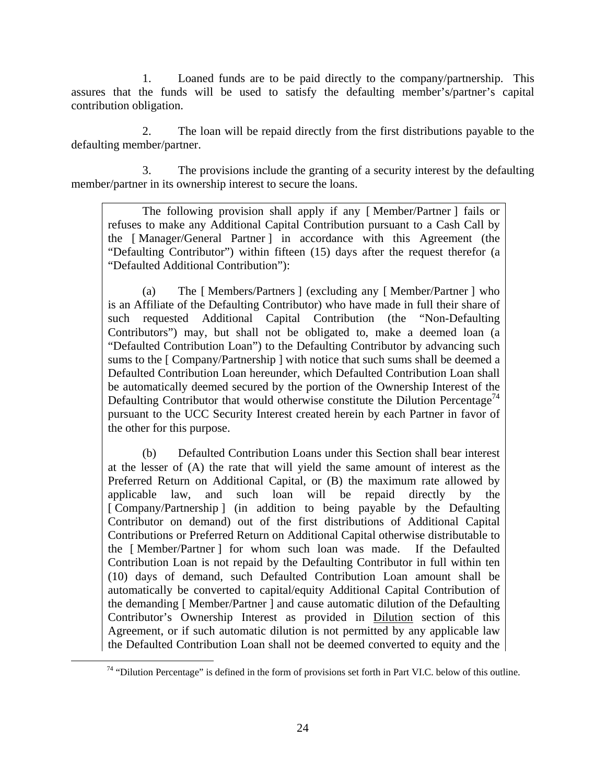1. Loaned funds are to be paid directly to the company/partnership. This assures that the funds will be used to satisfy the defaulting member's/partner's capital contribution obligation.

 2. The loan will be repaid directly from the first distributions payable to the defaulting member/partner.

 3. The provisions include the granting of a security interest by the defaulting member/partner in its ownership interest to secure the loans.

The following provision shall apply if any [ Member/Partner ] fails or refuses to make any Additional Capital Contribution pursuant to a Cash Call by the [ Manager/General Partner ] in accordance with this Agreement (the "Defaulting Contributor") within fifteen (15) days after the request therefor (a "Defaulted Additional Contribution"):

(a) The [ Members/Partners ] (excluding any [ Member/Partner ] who is an Affiliate of the Defaulting Contributor) who have made in full their share of such requested Additional Capital Contribution (the "Non-Defaulting Contributors") may, but shall not be obligated to, make a deemed loan (a "Defaulted Contribution Loan") to the Defaulting Contributor by advancing such sums to the [ Company/Partnership ] with notice that such sums shall be deemed a Defaulted Contribution Loan hereunder, which Defaulted Contribution Loan shall be automatically deemed secured by the portion of the Ownership Interest of the Defaulting Contributor that would otherwise constitute the Dilution Percentage<sup>74</sup> pursuant to the UCC Security Interest created herein by each Partner in favor of the other for this purpose.

(b) Defaulted Contribution Loans under this Section shall bear interest at the lesser of (A) the rate that will yield the same amount of interest as the Preferred Return on Additional Capital, or (B) the maximum rate allowed by applicable law, and such loan will be repaid directly by the [ Company/Partnership ] (in addition to being payable by the Defaulting Contributor on demand) out of the first distributions of Additional Capital Contributions or Preferred Return on Additional Capital otherwise distributable to the [ Member/Partner ] for whom such loan was made. If the Defaulted Contribution Loan is not repaid by the Defaulting Contributor in full within ten (10) days of demand, such Defaulted Contribution Loan amount shall be automatically be converted to capital/equity Additional Capital Contribution of the demanding [ Member/Partner ] and cause automatic dilution of the Defaulting Contributor's Ownership Interest as provided in Dilution section of this Agreement, or if such automatic dilution is not permitted by any applicable law the Defaulted Contribution Loan shall not be deemed converted to equity and the

 $74$  "Dilution Percentage" is defined in the form of provisions set forth in Part VI.C. below of this outline.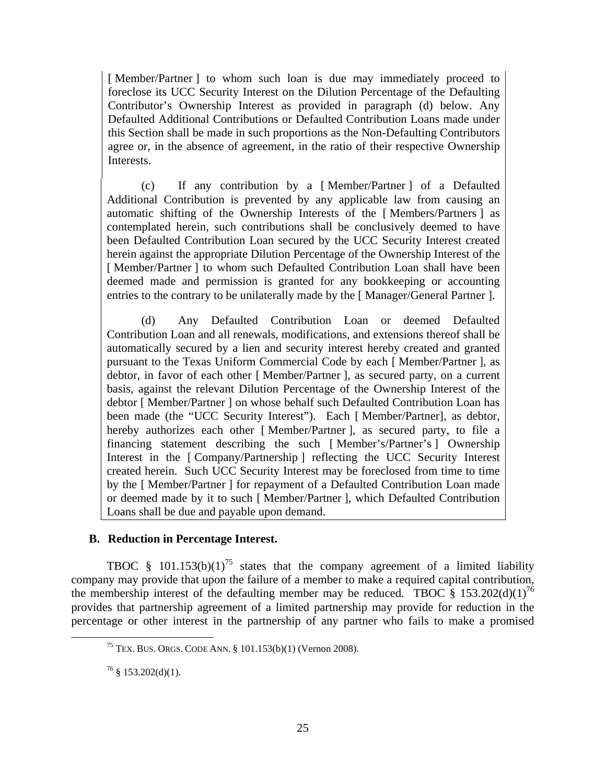[ Member/Partner ] to whom such loan is due may immediately proceed to foreclose its UCC Security Interest on the Dilution Percentage of the Defaulting Contributor's Ownership Interest as provided in paragraph (d) below. Any Defaulted Additional Contributions or Defaulted Contribution Loans made under this Section shall be made in such proportions as the Non-Defaulting Contributors agree or, in the absence of agreement, in the ratio of their respective Ownership Interests.

(c) If any contribution by a [ Member/Partner ] of a Defaulted Additional Contribution is prevented by any applicable law from causing an automatic shifting of the Ownership Interests of the [ Members/Partners ] as contemplated herein, such contributions shall be conclusively deemed to have been Defaulted Contribution Loan secured by the UCC Security Interest created herein against the appropriate Dilution Percentage of the Ownership Interest of the [Member/Partner] to whom such Defaulted Contribution Loan shall have been deemed made and permission is granted for any bookkeeping or accounting entries to the contrary to be unilaterally made by the [ Manager/General Partner ].

(d) Any Defaulted Contribution Loan or deemed Defaulted Contribution Loan and all renewals, modifications, and extensions thereof shall be automatically secured by a lien and security interest hereby created and granted pursuant to the Texas Uniform Commercial Code by each [ Member/Partner ], as debtor, in favor of each other [ Member/Partner ], as secured party, on a current basis, against the relevant Dilution Percentage of the Ownership Interest of the debtor [ Member/Partner ] on whose behalf such Defaulted Contribution Loan has been made (the "UCC Security Interest"). Each [ Member/Partner], as debtor, hereby authorizes each other [Member/Partner ], as secured party, to file a financing statement describing the such [ Member's/Partner's ] Ownership Interest in the [ Company/Partnership ] reflecting the UCC Security Interest created herein. Such UCC Security Interest may be foreclosed from time to time by the [ Member/Partner ] for repayment of a Defaulted Contribution Loan made or deemed made by it to such [ Member/Partner ], which Defaulted Contribution Loans shall be due and payable upon demand.

# **B. Reduction in Percentage Interest.**

TBOC § 101.153(b)(1)<sup>75</sup> states that the company agreement of a limited liability company may provide that upon the failure of a member to make a required capital contribution, the membership interest of the defaulting member may be reduced. TBOC  $\S$  153.202(d)(1)<sup>76</sup> provides that partnership agreement of a limited partnership may provide for reduction in the percentage or other interest in the partnership of any partner who fails to make a promised

 <sup>75</sup> TEX. BUS. ORGS. CODE ANN. § 101.153(b)(1) (Vernon 2008).

 $76 \text{ }$  § 153.202(d)(1).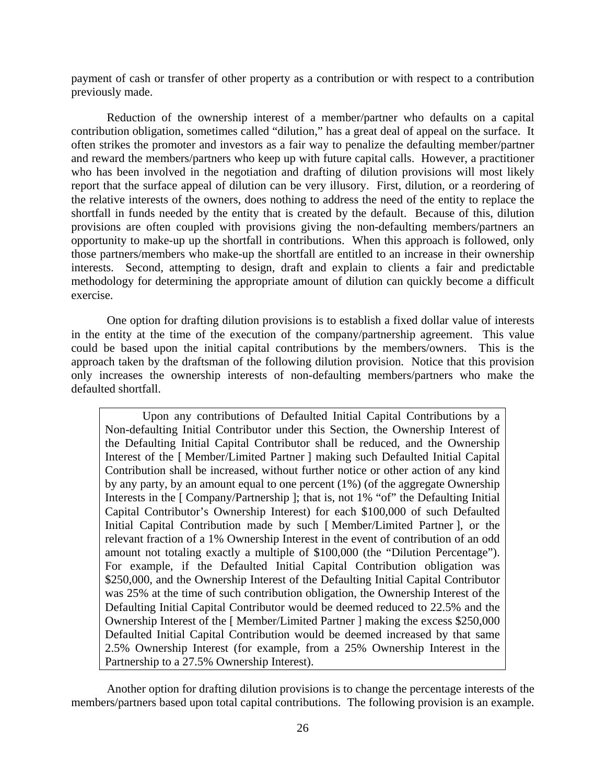payment of cash or transfer of other property as a contribution or with respect to a contribution previously made.

Reduction of the ownership interest of a member/partner who defaults on a capital contribution obligation, sometimes called "dilution," has a great deal of appeal on the surface. It often strikes the promoter and investors as a fair way to penalize the defaulting member/partner and reward the members/partners who keep up with future capital calls. However, a practitioner who has been involved in the negotiation and drafting of dilution provisions will most likely report that the surface appeal of dilution can be very illusory. First, dilution, or a reordering of the relative interests of the owners, does nothing to address the need of the entity to replace the shortfall in funds needed by the entity that is created by the default. Because of this, dilution provisions are often coupled with provisions giving the non-defaulting members/partners an opportunity to make-up up the shortfall in contributions. When this approach is followed, only those partners/members who make-up the shortfall are entitled to an increase in their ownership interests. Second, attempting to design, draft and explain to clients a fair and predictable methodology for determining the appropriate amount of dilution can quickly become a difficult exercise.

One option for drafting dilution provisions is to establish a fixed dollar value of interests in the entity at the time of the execution of the company/partnership agreement. This value could be based upon the initial capital contributions by the members/owners. This is the approach taken by the draftsman of the following dilution provision. Notice that this provision only increases the ownership interests of non-defaulting members/partners who make the defaulted shortfall.

 Upon any contributions of Defaulted Initial Capital Contributions by a Non-defaulting Initial Contributor under this Section, the Ownership Interest of the Defaulting Initial Capital Contributor shall be reduced, and the Ownership Interest of the [ Member/Limited Partner ] making such Defaulted Initial Capital Contribution shall be increased, without further notice or other action of any kind by any party, by an amount equal to one percent (1%) (of the aggregate Ownership Interests in the [ Company/Partnership ]; that is, not 1% "of" the Defaulting Initial Capital Contributor's Ownership Interest) for each \$100,000 of such Defaulted Initial Capital Contribution made by such [ Member/Limited Partner ], or the relevant fraction of a 1% Ownership Interest in the event of contribution of an odd amount not totaling exactly a multiple of \$100,000 (the "Dilution Percentage"). For example, if the Defaulted Initial Capital Contribution obligation was \$250,000, and the Ownership Interest of the Defaulting Initial Capital Contributor was 25% at the time of such contribution obligation, the Ownership Interest of the Defaulting Initial Capital Contributor would be deemed reduced to 22.5% and the Ownership Interest of the [ Member/Limited Partner ] making the excess \$250,000 Defaulted Initial Capital Contribution would be deemed increased by that same 2.5% Ownership Interest (for example, from a 25% Ownership Interest in the Partnership to a 27.5% Ownership Interest).

Another option for drafting dilution provisions is to change the percentage interests of the members/partners based upon total capital contributions. The following provision is an example.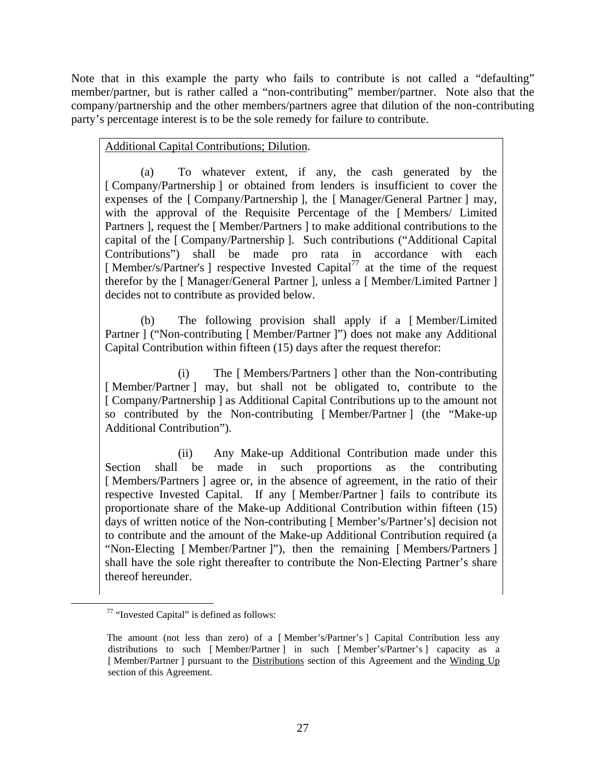Note that in this example the party who fails to contribute is not called a "defaulting" member/partner, but is rather called a "non-contributing" member/partner. Note also that the company/partnership and the other members/partners agree that dilution of the non-contributing party's percentage interest is to be the sole remedy for failure to contribute.

Additional Capital Contributions; Dilution.

(a) To whatever extent, if any, the cash generated by the [ Company/Partnership ] or obtained from lenders is insufficient to cover the expenses of the [ Company/Partnership ], the [ Manager/General Partner ] may, with the approval of the Requisite Percentage of the [ Members/ Limited Partners ], request the [ Member/Partners ] to make additional contributions to the capital of the [ Company/Partnership ]. Such contributions ("Additional Capital Contributions") shall be made pro rata in accordance with each [Member/s/Partner's ] respective Invested Capital<sup>77</sup> at the time of the request therefor by the [ Manager/General Partner ], unless a [ Member/Limited Partner ] decides not to contribute as provided below.

(b) The following provision shall apply if a [ Member/Limited Partner ] ("Non-contributing [ Member/Partner ]") does not make any Additional Capital Contribution within fifteen (15) days after the request therefor:

 (i) The [ Members/Partners ] other than the Non-contributing [Member/Partner ] may, but shall not be obligated to, contribute to the [ Company/Partnership ] as Additional Capital Contributions up to the amount not so contributed by the Non-contributing [ Member/Partner ] (the "Make-up Additional Contribution").

 (ii) Any Make-up Additional Contribution made under this Section shall be made in such proportions as the contributing [Members/Partners] agree or, in the absence of agreement, in the ratio of their respective Invested Capital. If any [ Member/Partner ] fails to contribute its proportionate share of the Make-up Additional Contribution within fifteen (15) days of written notice of the Non-contributing [ Member's/Partner's] decision not to contribute and the amount of the Make-up Additional Contribution required (a "Non-Electing [ Member/Partner ]"), then the remaining [ Members/Partners ] shall have the sole right thereafter to contribute the Non-Electing Partner's share thereof hereunder.

 <sup>77 &</sup>quot;Invested Capital" is defined as follows:

The amount (not less than zero) of a [ Member's/Partner's ] Capital Contribution less any distributions to such [ Member/Partner ] in such [ Member's/Partner's ] capacity as a [Member/Partner] pursuant to the Distributions section of this Agreement and the Winding Up section of this Agreement.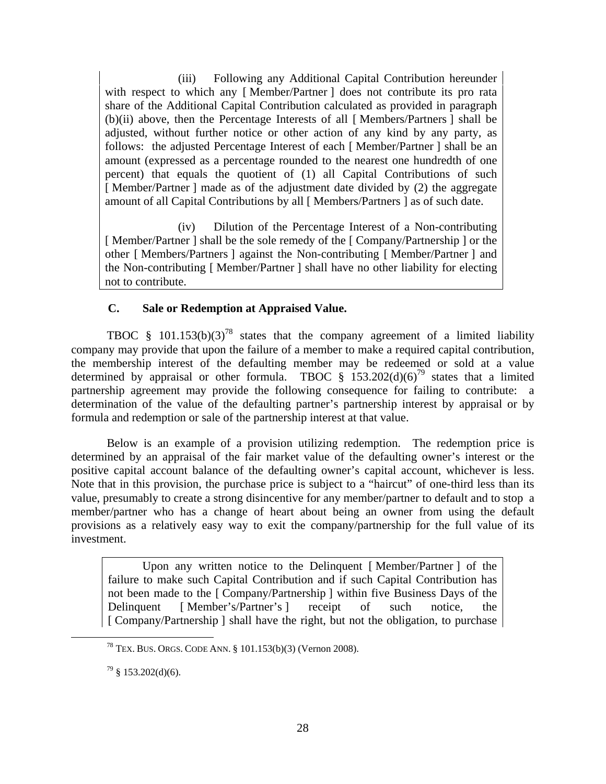(iii) Following any Additional Capital Contribution hereunder with respect to which any [Member/Partner ] does not contribute its pro rata share of the Additional Capital Contribution calculated as provided in paragraph (b)(ii) above, then the Percentage Interests of all [ Members/Partners ] shall be adjusted, without further notice or other action of any kind by any party, as follows: the adjusted Percentage Interest of each [ Member/Partner ] shall be an amount (expressed as a percentage rounded to the nearest one hundredth of one percent) that equals the quotient of (1) all Capital Contributions of such [Member/Partner ] made as of the adjustment date divided by (2) the aggregate amount of all Capital Contributions by all [ Members/Partners ] as of such date.

 (iv) Dilution of the Percentage Interest of a Non-contributing [ Member/Partner ] shall be the sole remedy of the [ Company/Partnership ] or the other [ Members/Partners ] against the Non-contributing [ Member/Partner ] and the Non-contributing [ Member/Partner ] shall have no other liability for electing not to contribute.

# **C. Sale or Redemption at Appraised Value.**

TBOC § 101.153(b)(3)<sup>78</sup> states that the company agreement of a limited liability company may provide that upon the failure of a member to make a required capital contribution, the membership interest of the defaulting member may be redeemed or sold at a value determined by appraisal or other formula. TBOC  $\frac{1}{5}$  153.202(d)(6)<sup>79</sup> states that a limited partnership agreement may provide the following consequence for failing to contribute: a determination of the value of the defaulting partner's partnership interest by appraisal or by formula and redemption or sale of the partnership interest at that value.

Below is an example of a provision utilizing redemption. The redemption price is determined by an appraisal of the fair market value of the defaulting owner's interest or the positive capital account balance of the defaulting owner's capital account, whichever is less. Note that in this provision, the purchase price is subject to a "haircut" of one-third less than its value, presumably to create a strong disincentive for any member/partner to default and to stop a member/partner who has a change of heart about being an owner from using the default provisions as a relatively easy way to exit the company/partnership for the full value of its investment.

Upon any written notice to the Delinquent [ Member/Partner ] of the failure to make such Capital Contribution and if such Capital Contribution has not been made to the [ Company/Partnership ] within five Business Days of the Delinquent [ Member's/Partner's ] receipt of such notice, the [ Company/Partnership ] shall have the right, but not the obligation, to purchase

 <sup>78</sup> TEX. BUS. ORGS. CODE ANN. § 101.153(b)(3) (Vernon 2008).

 $79\$ § 153.202(d)(6).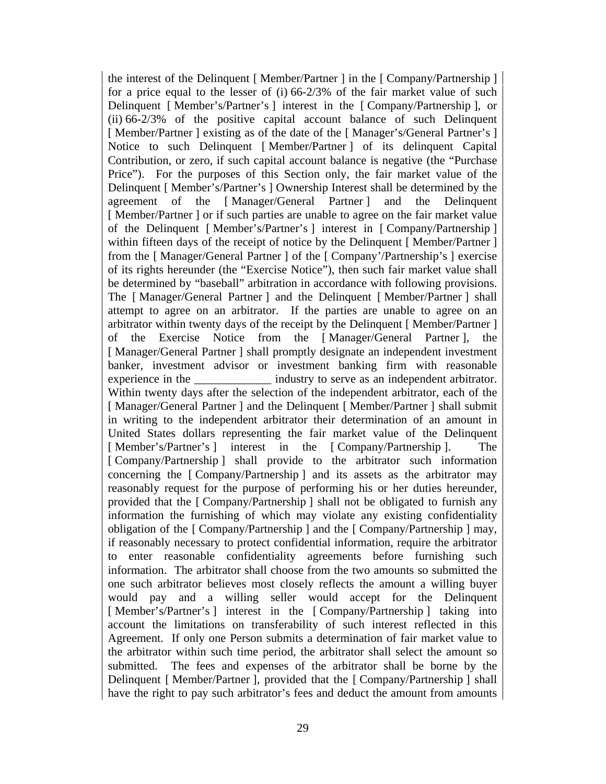the interest of the Delinquent [ Member/Partner ] in the [ Company/Partnership ] for a price equal to the lesser of (i) 66-2/3% of the fair market value of such Delinquent [ Member's/Partner's ] interest in the [ Company/Partnership ], or (ii) 66-2/3% of the positive capital account balance of such Delinquent [ Member/Partner ] existing as of the date of the [ Manager's/General Partner's ] Notice to such Delinquent [ Member/Partner ] of its delinquent Capital Contribution, or zero, if such capital account balance is negative (the "Purchase Price"). For the purposes of this Section only, the fair market value of the Delinquent [ Member's/Partner's ] Ownership Interest shall be determined by the agreement of the [ Manager/General Partner ] and the Delinquent [Member/Partner] or if such parties are unable to agree on the fair market value of the Delinquent [ Member's/Partner's ] interest in [ Company/Partnership ] within fifteen days of the receipt of notice by the Delinquent [Member/Partner ] from the [ Manager/General Partner ] of the [ Company'/Partnership's ] exercise of its rights hereunder (the "Exercise Notice"), then such fair market value shall be determined by "baseball" arbitration in accordance with following provisions. The [ Manager/General Partner ] and the Delinquent [ Member/Partner ] shall attempt to agree on an arbitrator. If the parties are unable to agree on an arbitrator within twenty days of the receipt by the Delinquent [ Member/Partner ] of the Exercise Notice from the [ Manager/General Partner ], the [Manager/General Partner ] shall promptly designate an independent investment banker, investment advisor or investment banking firm with reasonable experience in the \_\_\_\_\_\_\_\_\_\_\_\_\_\_ industry to serve as an independent arbitrator. Within twenty days after the selection of the independent arbitrator, each of the [ Manager/General Partner ] and the Delinquent [ Member/Partner ] shall submit in writing to the independent arbitrator their determination of an amount in United States dollars representing the fair market value of the Delinquent [ Member's/Partner's ] interest in the [ Company/Partnership ]. The [ Company/Partnership ] shall provide to the arbitrator such information concerning the [ Company/Partnership ] and its assets as the arbitrator may reasonably request for the purpose of performing his or her duties hereunder, provided that the [ Company/Partnership ] shall not be obligated to furnish any information the furnishing of which may violate any existing confidentiality obligation of the [ Company/Partnership ] and the [ Company/Partnership ] may, if reasonably necessary to protect confidential information, require the arbitrator to enter reasonable confidentiality agreements before furnishing such information. The arbitrator shall choose from the two amounts so submitted the one such arbitrator believes most closely reflects the amount a willing buyer would pay and a willing seller would accept for the Delinquent [ Member's/Partner's ] interest in the [ Company/Partnership ] taking into account the limitations on transferability of such interest reflected in this Agreement. If only one Person submits a determination of fair market value to the arbitrator within such time period, the arbitrator shall select the amount so submitted. The fees and expenses of the arbitrator shall be borne by the Delinquent [ Member/Partner ], provided that the [ Company/Partnership ] shall have the right to pay such arbitrator's fees and deduct the amount from amounts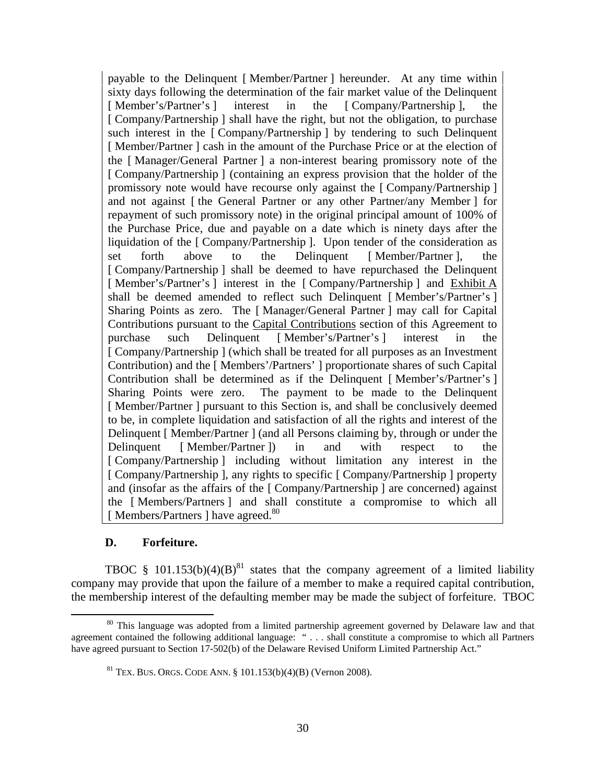payable to the Delinquent [ Member/Partner ] hereunder. At any time within sixty days following the determination of the fair market value of the Delinquent [ Member's/Partner's ] interest in the [ Company/Partnership ], the [ Company/Partnership ] shall have the right, but not the obligation, to purchase such interest in the [ Company/Partnership ] by tendering to such Delinquent [Member/Partner] cash in the amount of the Purchase Price or at the election of the [ Manager/General Partner ] a non-interest bearing promissory note of the [ Company/Partnership ] (containing an express provision that the holder of the promissory note would have recourse only against the [ Company/Partnership ] and not against [ the General Partner or any other Partner/any Member ] for repayment of such promissory note) in the original principal amount of 100% of the Purchase Price, due and payable on a date which is ninety days after the liquidation of the [ Company/Partnership ]. Upon tender of the consideration as set forth above to the Delinquent [ Member/Partner ], the [ Company/Partnership ] shall be deemed to have repurchased the Delinquent [ Member's/Partner's ] interest in the [ Company/Partnership ] and Exhibit A shall be deemed amended to reflect such Delinquent [ Member's/Partner's ] Sharing Points as zero. The [ Manager/General Partner ] may call for Capital Contributions pursuant to the Capital Contributions section of this Agreement to purchase such Delinquent [ Member's/Partner's ] interest in the [ Company/Partnership ] (which shall be treated for all purposes as an Investment Contribution) and the [ Members'/Partners' ] proportionate shares of such Capital Contribution shall be determined as if the Delinquent [ Member's/Partner's ] Sharing Points were zero. The payment to be made to the Delinquent [Member/Partner] pursuant to this Section is, and shall be conclusively deemed to be, in complete liquidation and satisfaction of all the rights and interest of the Delinquent [ Member/Partner ] (and all Persons claiming by, through or under the Delinquent [ Member/Partner ]) in and with respect to the [ Company/Partnership ] including without limitation any interest in the [ Company/Partnership ], any rights to specific [ Company/Partnership ] property and (insofar as the affairs of the [ Company/Partnership ] are concerned) against the [ Members/Partners ] and shall constitute a compromise to which all [Members/Partners ] have agreed.<sup>80</sup>

# **D. Forfeiture.**

TBOC § 101.153(b)(4)(B)<sup>81</sup> states that the company agreement of a limited liability company may provide that upon the failure of a member to make a required capital contribution, the membership interest of the defaulting member may be made the subject of forfeiture. TBOC

<sup>&</sup>lt;sup>80</sup> This language was adopted from a limited partnership agreement governed by Delaware law and that agreement contained the following additional language: " . . . shall constitute a compromise to which all Partners have agreed pursuant to Section 17-502(b) of the Delaware Revised Uniform Limited Partnership Act."

<sup>&</sup>lt;sup>81</sup> TEX. BUS. ORGS. CODE ANN. § 101.153(b)(4)(B) (Vernon 2008).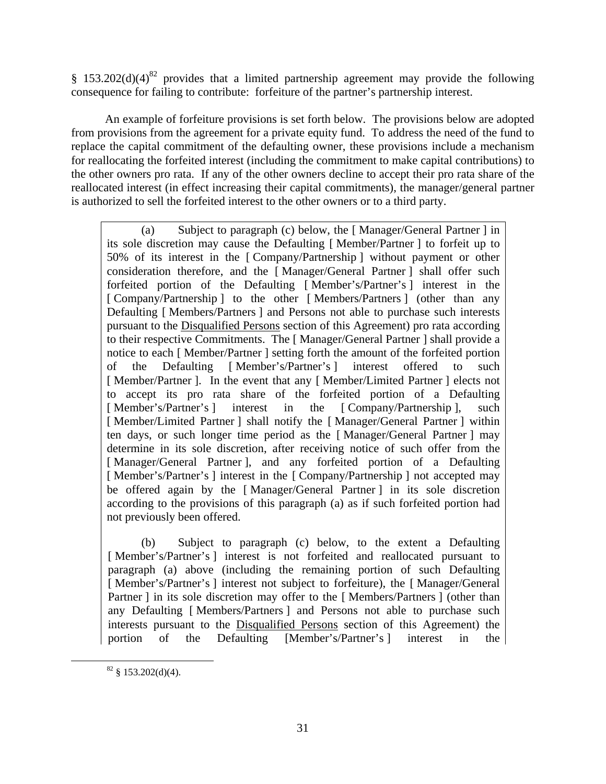§ 153.202(d)(4)<sup>82</sup> provides that a limited partnership agreement may provide the following consequence for failing to contribute: forfeiture of the partner's partnership interest.

An example of forfeiture provisions is set forth below. The provisions below are adopted from provisions from the agreement for a private equity fund. To address the need of the fund to replace the capital commitment of the defaulting owner, these provisions include a mechanism for reallocating the forfeited interest (including the commitment to make capital contributions) to the other owners pro rata. If any of the other owners decline to accept their pro rata share of the reallocated interest (in effect increasing their capital commitments), the manager/general partner is authorized to sell the forfeited interest to the other owners or to a third party.

(a) Subject to paragraph (c) below, the [ Manager/General Partner ] in its sole discretion may cause the Defaulting [ Member/Partner ] to forfeit up to 50% of its interest in the [ Company/Partnership ] without payment or other consideration therefore, and the [ Manager/General Partner ] shall offer such forfeited portion of the Defaulting [ Member's/Partner's ] interest in the [ Company/Partnership ] to the other [ Members/Partners ] (other than any Defaulting [ Members/Partners ] and Persons not able to purchase such interests pursuant to the Disqualified Persons section of this Agreement) pro rata according to their respective Commitments. The [ Manager/General Partner ] shall provide a notice to each [ Member/Partner ] setting forth the amount of the forfeited portion of the Defaulting [ Member's/Partner's ] interest offered to such [Member/Partner]. In the event that any [Member/Limited Partner] elects not to accept its pro rata share of the forfeited portion of a Defaulting [Member's/Partner's ] interest in the [Company/Partnership ], such [ Member/Limited Partner ] shall notify the [ Manager/General Partner ] within ten days, or such longer time period as the [ Manager/General Partner ] may determine in its sole discretion, after receiving notice of such offer from the [Manager/General Partner], and any forfeited portion of a Defaulting [Member's/Partner's ] interest in the [Company/Partnership ] not accepted may be offered again by the [ Manager/General Partner ] in its sole discretion according to the provisions of this paragraph (a) as if such forfeited portion had not previously been offered.

(b) Subject to paragraph (c) below, to the extent a Defaulting [Member's/Partner's ] interest is not forfeited and reallocated pursuant to paragraph (a) above (including the remaining portion of such Defaulting [ Member's/Partner's ] interest not subject to forfeiture), the [ Manager/General Partner ] in its sole discretion may offer to the [Members/Partners ] (other than any Defaulting [ Members/Partners ] and Persons not able to purchase such interests pursuant to the Disqualified Persons section of this Agreement) the portion of the Defaulting [Member's/Partner's ] interest in the

 $82 \text{ }$ \$153.202(d)(4).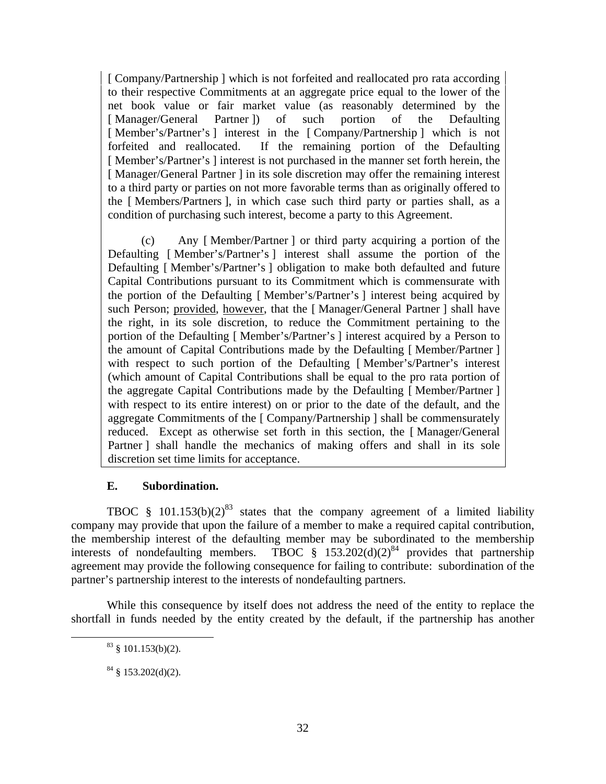[ Company/Partnership ] which is not forfeited and reallocated pro rata according to their respective Commitments at an aggregate price equal to the lower of the net book value or fair market value (as reasonably determined by the [ Manager/General Partner ]) of such portion of the Defaulting [Member's/Partner's ] interest in the [Company/Partnership ] which is not forfeited and reallocated. If the remaining portion of the Defaulting [ Member's/Partner's ] interest is not purchased in the manner set forth herein, the [ Manager/General Partner ] in its sole discretion may offer the remaining interest to a third party or parties on not more favorable terms than as originally offered to the [ Members/Partners ], in which case such third party or parties shall, as a condition of purchasing such interest, become a party to this Agreement.

(c) Any [ Member/Partner ] or third party acquiring a portion of the Defaulting [ Member's/Partner's ] interest shall assume the portion of the Defaulting [ Member's/Partner's ] obligation to make both defaulted and future Capital Contributions pursuant to its Commitment which is commensurate with the portion of the Defaulting [ Member's/Partner's ] interest being acquired by such Person; provided, however, that the [ Manager/General Partner ] shall have the right, in its sole discretion, to reduce the Commitment pertaining to the portion of the Defaulting [ Member's/Partner's ] interest acquired by a Person to the amount of Capital Contributions made by the Defaulting [ Member/Partner ] with respect to such portion of the Defaulting [Member's/Partner's interest (which amount of Capital Contributions shall be equal to the pro rata portion of the aggregate Capital Contributions made by the Defaulting [ Member/Partner ] with respect to its entire interest) on or prior to the date of the default, and the aggregate Commitments of the [ Company/Partnership ] shall be commensurately reduced. Except as otherwise set forth in this section, the [ Manager/General Partner ] shall handle the mechanics of making offers and shall in its sole discretion set time limits for acceptance.

# **E. Subordination.**

TBOC § 101.153(b)(2)<sup>83</sup> states that the company agreement of a limited liability company may provide that upon the failure of a member to make a required capital contribution, the membership interest of the defaulting member may be subordinated to the membership interests of nondefaulting members. TBOC  $\frac{1}{8}$  153.202(d)(2)<sup>84</sup> provides that partnership agreement may provide the following consequence for failing to contribute: subordination of the partner's partnership interest to the interests of nondefaulting partners.

While this consequence by itself does not address the need of the entity to replace the shortfall in funds needed by the entity created by the default, if the partnership has another

 $83 \text{ } \frac{\text{}}{\text{}} 101.153 \text{ (b)} (2)$ .

 $84 \text{ }$  § 153.202(d)(2).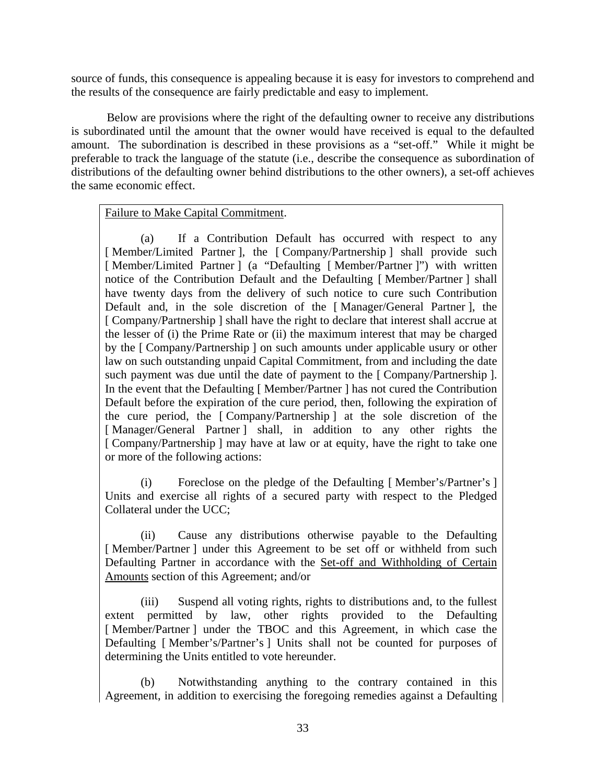source of funds, this consequence is appealing because it is easy for investors to comprehend and the results of the consequence are fairly predictable and easy to implement.

Below are provisions where the right of the defaulting owner to receive any distributions is subordinated until the amount that the owner would have received is equal to the defaulted amount. The subordination is described in these provisions as a "set-off." While it might be preferable to track the language of the statute (i.e., describe the consequence as subordination of distributions of the defaulting owner behind distributions to the other owners), a set-off achieves the same economic effect.

# Failure to Make Capital Commitment.

(a) If a Contribution Default has occurred with respect to any [Member/Limited Partner], the [Company/Partnership] shall provide such [ Member/Limited Partner ] (a "Defaulting [ Member/Partner ]") with written notice of the Contribution Default and the Defaulting [ Member/Partner ] shall have twenty days from the delivery of such notice to cure such Contribution Default and, in the sole discretion of the [ Manager/General Partner ], the [ Company/Partnership ] shall have the right to declare that interest shall accrue at the lesser of (i) the Prime Rate or (ii) the maximum interest that may be charged by the [ Company/Partnership ] on such amounts under applicable usury or other law on such outstanding unpaid Capital Commitment, from and including the date such payment was due until the date of payment to the [Company/Partnership ]. In the event that the Defaulting [ Member/Partner ] has not cured the Contribution Default before the expiration of the cure period, then, following the expiration of the cure period, the [ Company/Partnership ] at the sole discretion of the [Manager/General Partner] shall, in addition to any other rights the [ Company/Partnership ] may have at law or at equity, have the right to take one or more of the following actions:

(i) Foreclose on the pledge of the Defaulting [ Member's/Partner's ] Units and exercise all rights of a secured party with respect to the Pledged Collateral under the UCC;

(ii) Cause any distributions otherwise payable to the Defaulting [Member/Partner] under this Agreement to be set off or withheld from such Defaulting Partner in accordance with the Set-off and Withholding of Certain Amounts section of this Agreement; and/or

(iii) Suspend all voting rights, rights to distributions and, to the fullest extent permitted by law, other rights provided to the Defaulting [Member/Partner] under the TBOC and this Agreement, in which case the Defaulting [ Member's/Partner's ] Units shall not be counted for purposes of determining the Units entitled to vote hereunder.

(b) Notwithstanding anything to the contrary contained in this Agreement, in addition to exercising the foregoing remedies against a Defaulting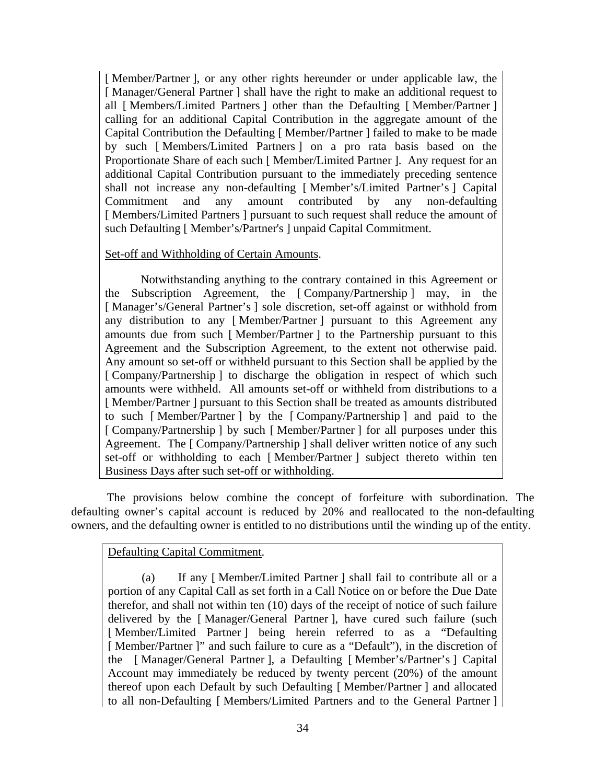[ Member/Partner ], or any other rights hereunder or under applicable law, the [ Manager/General Partner ] shall have the right to make an additional request to all [ Members/Limited Partners ] other than the Defaulting [ Member/Partner ] calling for an additional Capital Contribution in the aggregate amount of the Capital Contribution the Defaulting [ Member/Partner ] failed to make to be made by such [ Members/Limited Partners ] on a pro rata basis based on the Proportionate Share of each such [ Member/Limited Partner ]. Any request for an additional Capital Contribution pursuant to the immediately preceding sentence shall not increase any non-defaulting [ Member's/Limited Partner's ] Capital Commitment and any amount contributed by any non-defaulting [ Members/Limited Partners ] pursuant to such request shall reduce the amount of such Defaulting [ Member's/Partner's ] unpaid Capital Commitment.

## Set-off and Withholding of Certain Amounts.

Notwithstanding anything to the contrary contained in this Agreement or the Subscription Agreement, the [ Company/Partnership ] may, in the [Manager's/General Partner's ] sole discretion, set-off against or withhold from any distribution to any [ Member/Partner ] pursuant to this Agreement any amounts due from such [ Member/Partner ] to the Partnership pursuant to this Agreement and the Subscription Agreement, to the extent not otherwise paid. Any amount so set-off or withheld pursuant to this Section shall be applied by the [ Company/Partnership ] to discharge the obligation in respect of which such amounts were withheld. All amounts set-off or withheld from distributions to a [ Member/Partner ] pursuant to this Section shall be treated as amounts distributed to such [ Member/Partner ] by the [ Company/Partnership ] and paid to the [ Company/Partnership ] by such [ Member/Partner ] for all purposes under this Agreement. The [ Company/Partnership ] shall deliver written notice of any such set-off or withholding to each [ Member/Partner ] subject thereto within ten Business Days after such set-off or withholding.

The provisions below combine the concept of forfeiture with subordination. The defaulting owner's capital account is reduced by 20% and reallocated to the non-defaulting owners, and the defaulting owner is entitled to no distributions until the winding up of the entity.

# Defaulting Capital Commitment.

(a) If any [ Member/Limited Partner ] shall fail to contribute all or a portion of any Capital Call as set forth in a Call Notice on or before the Due Date therefor, and shall not within ten (10) days of the receipt of notice of such failure delivered by the [ Manager/General Partner ], have cured such failure (such [Member/Limited Partner ] being herein referred to as a "Defaulting" [Member/Partner]" and such failure to cure as a "Default"), in the discretion of the [ Manager/General Partner ], a Defaulting [ Member's/Partner's ] Capital Account may immediately be reduced by twenty percent (20%) of the amount thereof upon each Default by such Defaulting [ Member/Partner ] and allocated to all non-Defaulting [ Members/Limited Partners and to the General Partner ]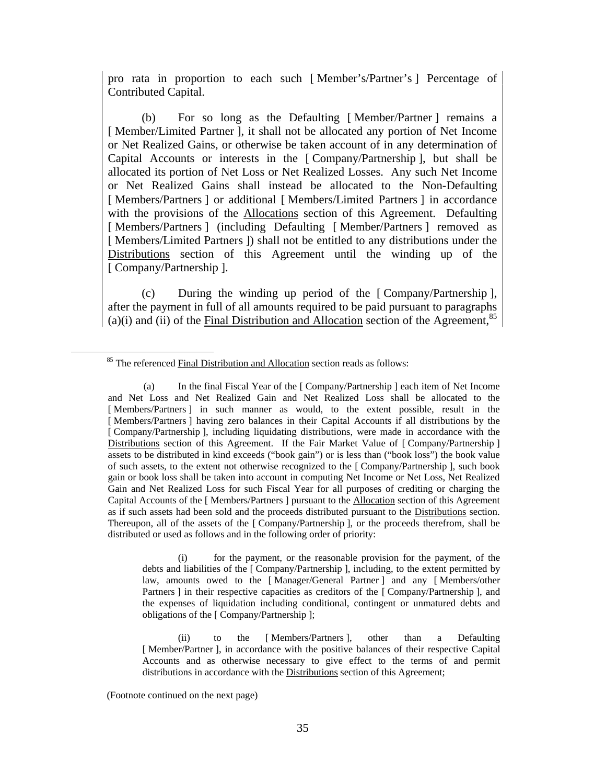pro rata in proportion to each such [ Member's/Partner's ] Percentage of Contributed Capital.

(b) For so long as the Defaulting [ Member/Partner ] remains a [ Member/Limited Partner ], it shall not be allocated any portion of Net Income or Net Realized Gains, or otherwise be taken account of in any determination of Capital Accounts or interests in the [ Company/Partnership ], but shall be allocated its portion of Net Loss or Net Realized Losses. Any such Net Income or Net Realized Gains shall instead be allocated to the Non-Defaulting [ Members/Partners ] or additional [ Members/Limited Partners ] in accordance with the provisions of the Allocations section of this Agreement. Defaulting [Members/Partners ] (including Defaulting [Member/Partners ] removed as [ Members/Limited Partners ]) shall not be entitled to any distributions under the Distributions section of this Agreement until the winding up of the [ Company/Partnership ].

(c) During the winding up period of the [ Company/Partnership ], after the payment in full of all amounts required to be paid pursuant to paragraphs  $(a)(i)$  and  $(ii)$  of the Final Distribution and Allocation section of the Agreement,<sup>85</sup>

(i) for the payment, or the reasonable provision for the payment, of the debts and liabilities of the [ Company/Partnership ], including, to the extent permitted by law, amounts owed to the [ Manager/General Partner ] and any [ Members/other Partners ] in their respective capacities as creditors of the [ Company/Partnership ], and the expenses of liquidation including conditional, contingent or unmatured debts and obligations of the [ Company/Partnership ];

(ii) to the [ Members/Partners ], other than a Defaulting [ Member/Partner ], in accordance with the positive balances of their respective Capital Accounts and as otherwise necessary to give effect to the terms of and permit distributions in accordance with the Distributions section of this Agreement;

(Footnote continued on the next page)

<sup>&</sup>lt;sup>85</sup> The referenced Final Distribution and Allocation section reads as follows:

<sup>(</sup>a) In the final Fiscal Year of the [ Company/Partnership ] each item of Net Income and Net Loss and Net Realized Gain and Net Realized Loss shall be allocated to the [ Members/Partners ] in such manner as would, to the extent possible, result in the [ Members/Partners ] having zero balances in their Capital Accounts if all distributions by the [ Company/Partnership ], including liquidating distributions, were made in accordance with the Distributions section of this Agreement. If the Fair Market Value of [Company/Partnership] assets to be distributed in kind exceeds ("book gain") or is less than ("book loss") the book value of such assets, to the extent not otherwise recognized to the [ Company/Partnership ], such book gain or book loss shall be taken into account in computing Net Income or Net Loss, Net Realized Gain and Net Realized Loss for such Fiscal Year for all purposes of crediting or charging the Capital Accounts of the [ Members/Partners ] pursuant to the Allocation section of this Agreement as if such assets had been sold and the proceeds distributed pursuant to the Distributions section. Thereupon, all of the assets of the [ Company/Partnership ], or the proceeds therefrom, shall be distributed or used as follows and in the following order of priority: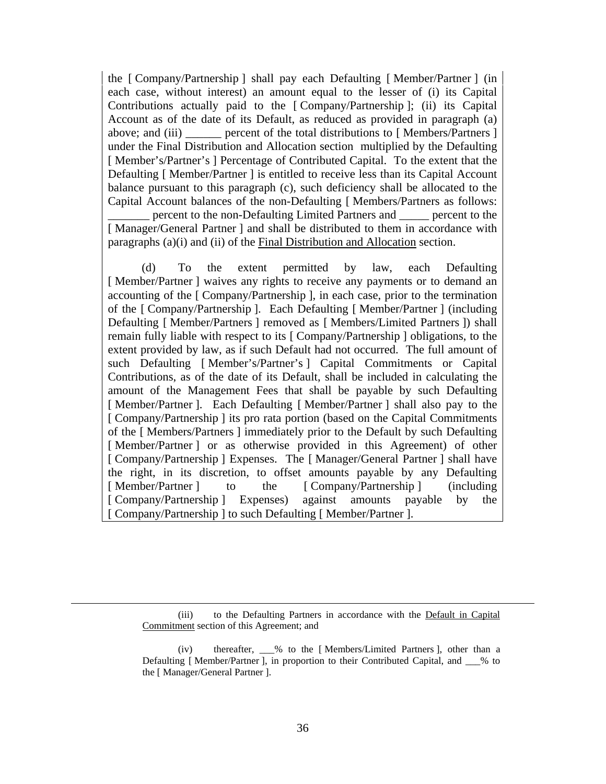the [ Company/Partnership ] shall pay each Defaulting [ Member/Partner ] (in each case, without interest) an amount equal to the lesser of (i) its Capital Contributions actually paid to the [ Company/Partnership ]; (ii) its Capital Account as of the date of its Default, as reduced as provided in paragraph (a) above; and (iii) **percent of the total distributions to [ Members/Partners ]** under the Final Distribution and Allocation section multiplied by the Defaulting [ Member's/Partner's ] Percentage of Contributed Capital. To the extent that the Defaulting [ Member/Partner ] is entitled to receive less than its Capital Account balance pursuant to this paragraph (c), such deficiency shall be allocated to the Capital Account balances of the non-Defaulting [ Members/Partners as follows: \_\_\_\_\_\_\_ percent to the non-Defaulting Limited Partners and \_\_\_\_\_ percent to the [Manager/General Partner ] and shall be distributed to them in accordance with paragraphs (a)(i) and (ii) of the Final Distribution and Allocation section.

(d) To the extent permitted by law, each Defaulting [Member/Partner ] waives any rights to receive any payments or to demand an accounting of the [ Company/Partnership ], in each case, prior to the termination of the [ Company/Partnership ]. Each Defaulting [ Member/Partner ] (including Defaulting [ Member/Partners ] removed as [ Members/Limited Partners ]) shall remain fully liable with respect to its [ Company/Partnership ] obligations, to the extent provided by law, as if such Default had not occurred. The full amount of such Defaulting [ Member's/Partner's ] Capital Commitments or Capital Contributions, as of the date of its Default, shall be included in calculating the amount of the Management Fees that shall be payable by such Defaulting [Member/Partner]. Each Defaulting [Member/Partner] shall also pay to the [ Company/Partnership ] its pro rata portion (based on the Capital Commitments of the [ Members/Partners ] immediately prior to the Default by such Defaulting [Member/Partner] or as otherwise provided in this Agreement) of other [ Company/Partnership ] Expenses. The [ Manager/General Partner ] shall have the right, in its discretion, to offset amounts payable by any Defaulting [ Member/Partner ] to the [ Company/Partnership ] (including [ Company/Partnership ] Expenses) against amounts payable by the [ Company/Partnership ] to such Defaulting [ Member/Partner ].

(iii) to the Defaulting Partners in accordance with the Default in Capital Commitment section of this Agreement; and

(iv) thereafter, \_\_\_% to the [ Members/Limited Partners ], other than a Defaulting [Member/Partner ], in proportion to their Contributed Capital, and  $\%$  to the [ Manager/General Partner ].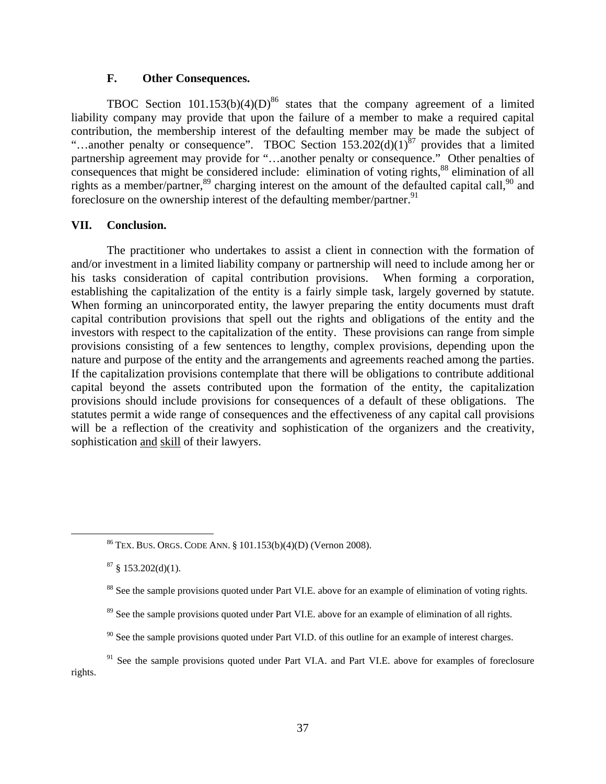### **F. Other Consequences.**

TBOC Section  $101.153(b)(4)(D)^{86}$  states that the company agreement of a limited liability company may provide that upon the failure of a member to make a required capital contribution, the membership interest of the defaulting member may be made the subject of "...another penalty or consequence". TBOC Section  $153.202(d)(1)^{87}$  provides that a limited partnership agreement may provide for "…another penalty or consequence." Other penalties of consequences that might be considered include: elimination of voting rights,<sup>88</sup> elimination of all rights as a member/partner,<sup>89</sup> charging interest on the amount of the defaulted capital call,<sup>90</sup> and foreclosure on the ownership interest of the defaulting member/partner.<sup>91</sup>

## **VII. Conclusion.**

The practitioner who undertakes to assist a client in connection with the formation of and/or investment in a limited liability company or partnership will need to include among her or his tasks consideration of capital contribution provisions. When forming a corporation, establishing the capitalization of the entity is a fairly simple task, largely governed by statute. When forming an unincorporated entity, the lawyer preparing the entity documents must draft capital contribution provisions that spell out the rights and obligations of the entity and the investors with respect to the capitalization of the entity. These provisions can range from simple provisions consisting of a few sentences to lengthy, complex provisions, depending upon the nature and purpose of the entity and the arrangements and agreements reached among the parties. If the capitalization provisions contemplate that there will be obligations to contribute additional capital beyond the assets contributed upon the formation of the entity, the capitalization provisions should include provisions for consequences of a default of these obligations. The statutes permit a wide range of consequences and the effectiveness of any capital call provisions will be a reflection of the creativity and sophistication of the organizers and the creativity, sophistication and skill of their lawyers.

- <sup>89</sup> See the sample provisions quoted under Part VI.E. above for an example of elimination of all rights.
- $90$  See the sample provisions quoted under Part VI.D. of this outline for an example of interest charges.

 <sup>86</sup> TEX. BUS. ORGS. CODE ANN. § 101.153(b)(4)(D) (Vernon 2008).

 $87 \S$  153.202(d)(1).

<sup>&</sup>lt;sup>88</sup> See the sample provisions quoted under Part VI.E. above for an example of elimination of voting rights.

<sup>&</sup>lt;sup>91</sup> See the sample provisions quoted under Part VI.A. and Part VI.E. above for examples of foreclosure rights.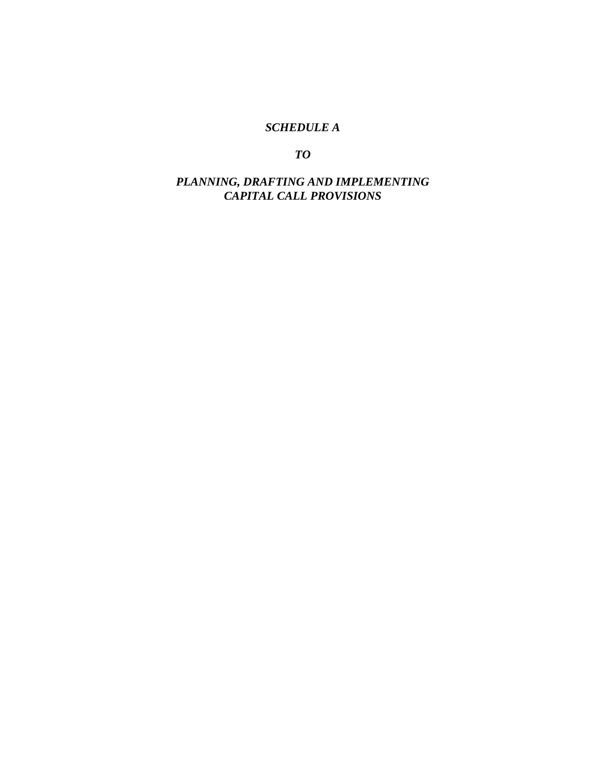# *SCHEDULE A*

*TO* 

# *PLANNING, DRAFTING AND IMPLEMENTING CAPITAL CALL PROVISIONS*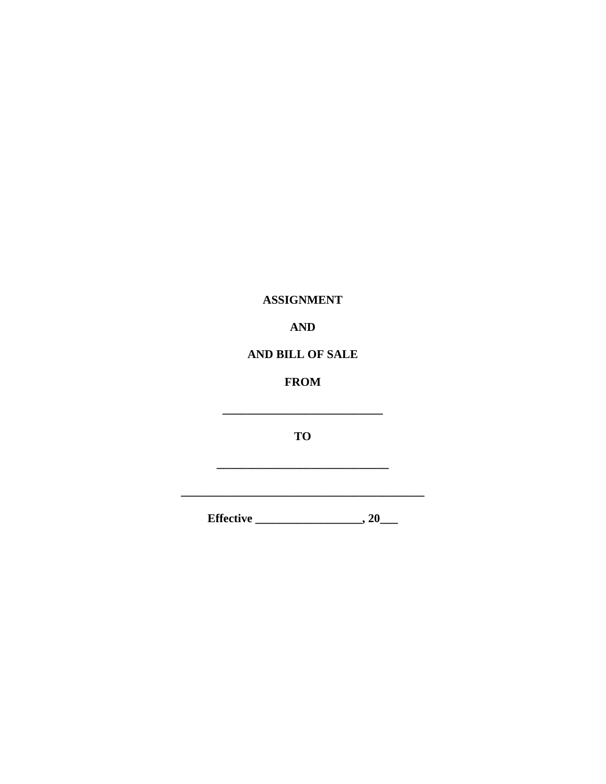# **ASSIGNMENT**

# **AND**

# AND BILL OF SALE

# **FROM**

**TO** 

<u> 1980 - Johann Barn, mars eta bainar</u>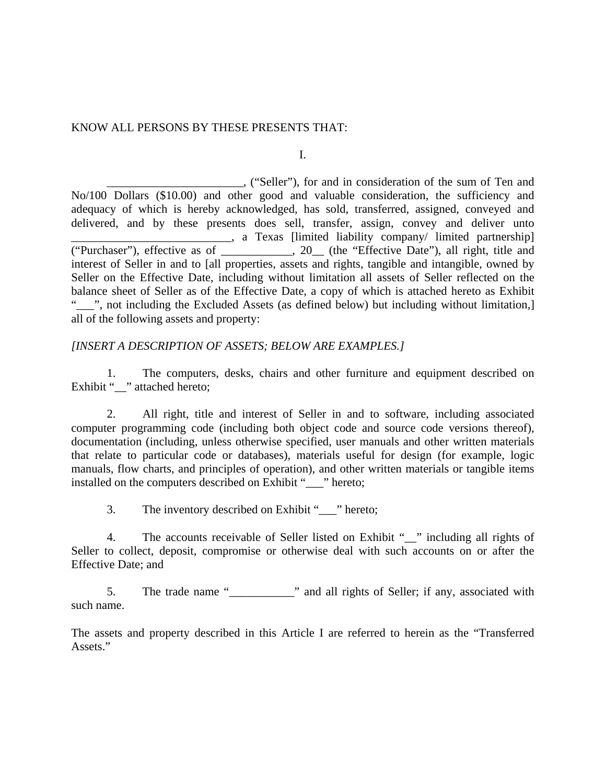## KNOW ALL PERSONS BY THESE PRESENTS THAT:

I.

 \_\_\_\_\_\_\_\_\_\_\_\_\_\_\_\_\_\_\_\_\_\_\_, ("Seller"), for and in consideration of the sum of Ten and No/100 Dollars (\$10.00) and other good and valuable consideration, the sufficiency and adequacy of which is hereby acknowledged, has sold, transferred, assigned, conveyed and delivered, and by these presents does sell, transfer, assign, convey and deliver unto . a Texas [limited liability company/ limited partnership] ("Purchaser"), effective as of \_\_\_\_\_\_\_\_\_\_\_\_, 20\_\_ (the "Effective Date"), all right, title and interest of Seller in and to [all properties, assets and rights, tangible and intangible, owned by Seller on the Effective Date, including without limitation all assets of Seller reflected on the balance sheet of Seller as of the Effective Date, a copy of which is attached hereto as Exhibit "<sup>1</sup>", not including the Excluded Assets (as defined below) but including without limitation, all of the following assets and property:

# *[INSERT A DESCRIPTION OF ASSETS; BELOW ARE EXAMPLES.]*

1. The computers, desks, chairs and other furniture and equipment described on Exhibit " " attached hereto;

2. All right, title and interest of Seller in and to software, including associated computer programming code (including both object code and source code versions thereof), documentation (including, unless otherwise specified, user manuals and other written materials that relate to particular code or databases), materials useful for design (for example, logic manuals, flow charts, and principles of operation), and other written materials or tangible items installed on the computers described on Exhibit "\_\_\_" hereto;

3. The inventory described on Exhibit " \_\_\_" hereto;

4. The accounts receivable of Seller listed on Exhibit "\_\_" including all rights of Seller to collect, deposit, compromise or otherwise deal with such accounts on or after the Effective Date; and

5. The trade name "\_\_\_\_\_\_\_\_\_\_\_" and all rights of Seller; if any, associated with such name.

The assets and property described in this Article I are referred to herein as the "Transferred Assets."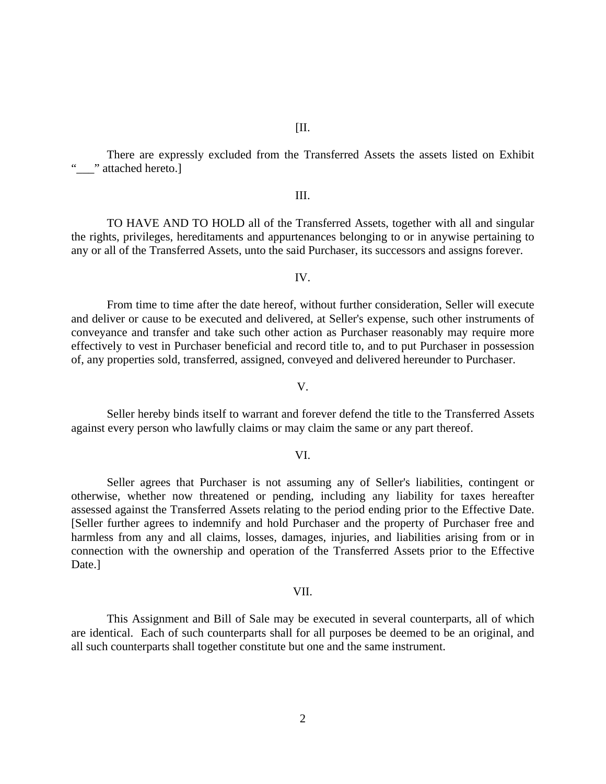There are expressly excluded from the Transferred Assets the assets listed on Exhibit "\_\_\_" attached hereto.]

### III.

 TO HAVE AND TO HOLD all of the Transferred Assets, together with all and singular the rights, privileges, hereditaments and appurtenances belonging to or in anywise pertaining to any or all of the Transferred Assets, unto the said Purchaser, its successors and assigns forever.

### IV.

 From time to time after the date hereof, without further consideration, Seller will execute and deliver or cause to be executed and delivered, at Seller's expense, such other instruments of conveyance and transfer and take such other action as Purchaser reasonably may require more effectively to vest in Purchaser beneficial and record title to, and to put Purchaser in possession of, any properties sold, transferred, assigned, conveyed and delivered hereunder to Purchaser.

 Seller hereby binds itself to warrant and forever defend the title to the Transferred Assets against every person who lawfully claims or may claim the same or any part thereof.

V.

#### VI.

 Seller agrees that Purchaser is not assuming any of Seller's liabilities, contingent or otherwise, whether now threatened or pending, including any liability for taxes hereafter assessed against the Transferred Assets relating to the period ending prior to the Effective Date. [Seller further agrees to indemnify and hold Purchaser and the property of Purchaser free and harmless from any and all claims, losses, damages, injuries, and liabilities arising from or in connection with the ownership and operation of the Transferred Assets prior to the Effective Date.]

#### VII.

 This Assignment and Bill of Sale may be executed in several counterparts, all of which are identical. Each of such counterparts shall for all purposes be deemed to be an original, and all such counterparts shall together constitute but one and the same instrument.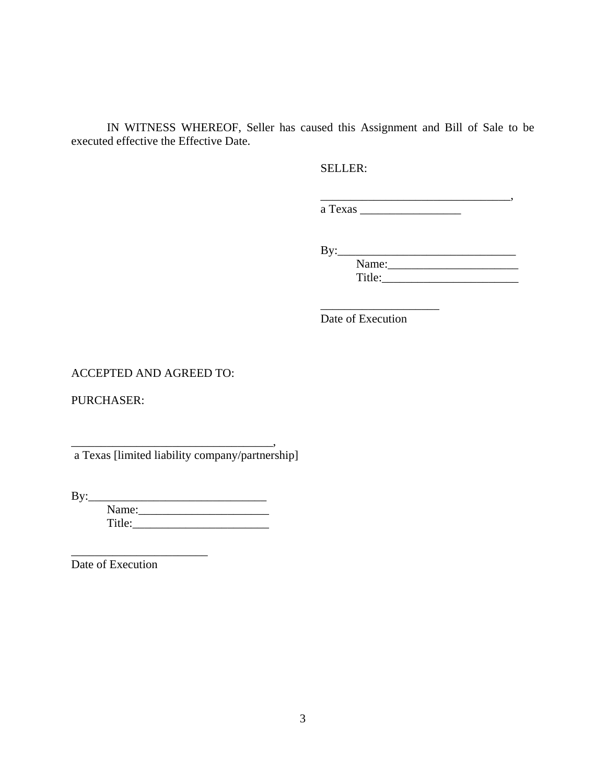IN WITNESS WHEREOF, Seller has caused this Assignment and Bill of Sale to be executed effective the Effective Date.

 $\overline{\phantom{a}}$  , which is a set of the set of the set of the set of the set of the set of the set of the set of the set of the set of the set of the set of the set of the set of the set of the set of the set of the set of th

### SELLER:

 \_\_\_\_\_\_\_\_\_\_\_\_\_\_\_\_\_\_\_\_\_\_\_\_\_\_\_\_\_\_\_\_, a Texas \_\_\_\_\_\_\_\_\_\_\_\_\_\_\_\_\_

 $\rm\,By:$ 

 Name:\_\_\_\_\_\_\_\_\_\_\_\_\_\_\_\_\_\_\_\_\_\_ Title:\_\_\_\_\_\_\_\_\_\_\_\_\_\_\_\_\_\_\_\_\_\_\_

Date of Execution

# ACCEPTED AND AGREED TO:

PURCHASER:

a Texas [limited liability company/partnership]

\_\_\_\_\_\_\_\_\_\_\_\_\_\_\_\_\_\_\_\_\_\_\_\_\_\_\_\_\_\_\_\_\_\_,

By:\_\_\_\_\_\_\_\_\_\_\_\_\_\_\_\_\_\_\_\_\_\_\_\_\_\_\_\_\_\_

 Name:\_\_\_\_\_\_\_\_\_\_\_\_\_\_\_\_\_\_\_\_\_\_ Title:\_\_\_\_\_\_\_\_\_\_\_\_\_\_\_\_\_\_\_\_\_\_\_

Date of Execution

\_\_\_\_\_\_\_\_\_\_\_\_\_\_\_\_\_\_\_\_\_\_\_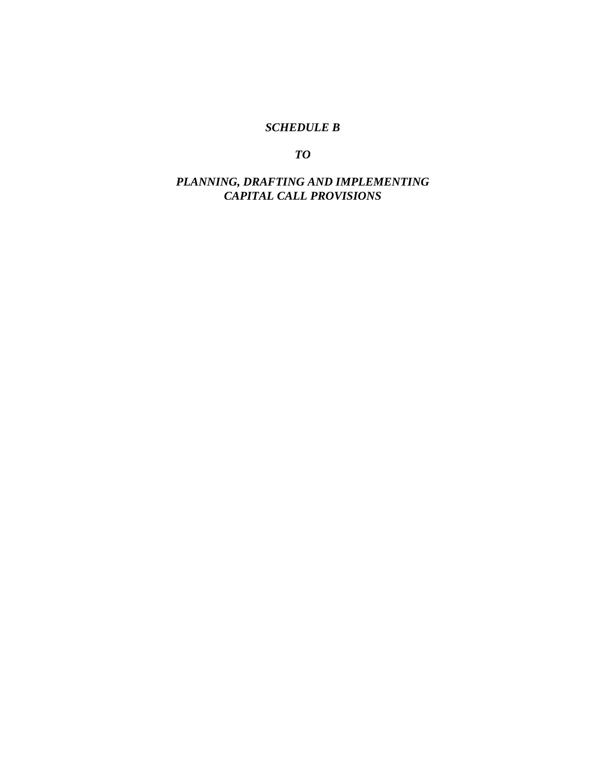# *SCHEDULE B*

*TO* 

*PLANNING, DRAFTING AND IMPLEMENTING CAPITAL CALL PROVISIONS*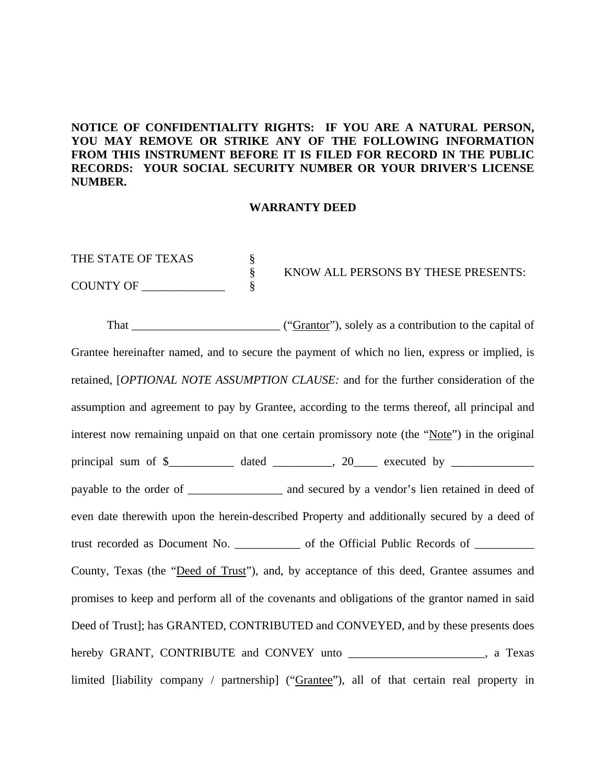# **NOTICE OF CONFIDENTIALITY RIGHTS: IF YOU ARE A NATURAL PERSON, YOU MAY REMOVE OR STRIKE ANY OF THE FOLLOWING INFORMATION FROM THIS INSTRUMENT BEFORE IT IS FILED FOR RECORD IN THE PUBLIC RECORDS: YOUR SOCIAL SECURITY NUMBER OR YOUR DRIVER'S LICENSE NUMBER.**

#### **WARRANTY DEED**

THE STATE OF TEXAS  $\S$  § KNOW ALL PERSONS BY THESE PRESENTS: COUNTY OF \_\_\_\_\_\_\_\_\_\_\_\_\_\_ §

That \_\_\_\_\_\_\_\_\_\_\_\_\_\_\_\_\_\_\_\_\_\_\_\_\_ ("Grantor"), solely as a contribution to the capital of Grantee hereinafter named, and to secure the payment of which no lien, express or implied, is retained, [*OPTIONAL NOTE ASSUMPTION CLAUSE:* and for the further consideration of the assumption and agreement to pay by Grantee, according to the terms thereof, all principal and interest now remaining unpaid on that one certain promissory note (the "Note") in the original principal sum of \$\_\_\_\_\_\_\_\_\_\_\_ dated \_\_\_\_\_\_\_\_\_\_, 20\_\_\_\_ executed by \_\_\_\_\_\_\_\_\_\_\_\_\_\_ payable to the order of \_\_\_\_\_\_\_\_\_\_\_\_\_\_\_\_ and secured by a vendor's lien retained in deed of even date therewith upon the herein-described Property and additionally secured by a deed of trust recorded as Document No. \_\_\_\_\_\_\_\_\_\_\_ of the Official Public Records of \_\_\_\_\_\_\_\_\_\_ County, Texas (the "Deed of Trust"), and, by acceptance of this deed, Grantee assumes and promises to keep and perform all of the covenants and obligations of the grantor named in said Deed of Trust]; has GRANTED, CONTRIBUTED and CONVEYED, and by these presents does hereby GRANT, CONTRIBUTE and CONVEY unto \_\_\_\_\_\_\_\_\_\_\_\_\_\_\_\_\_\_\_\_\_\_, a Texas limited [liability company / partnership] ("Grantee"), all of that certain real property in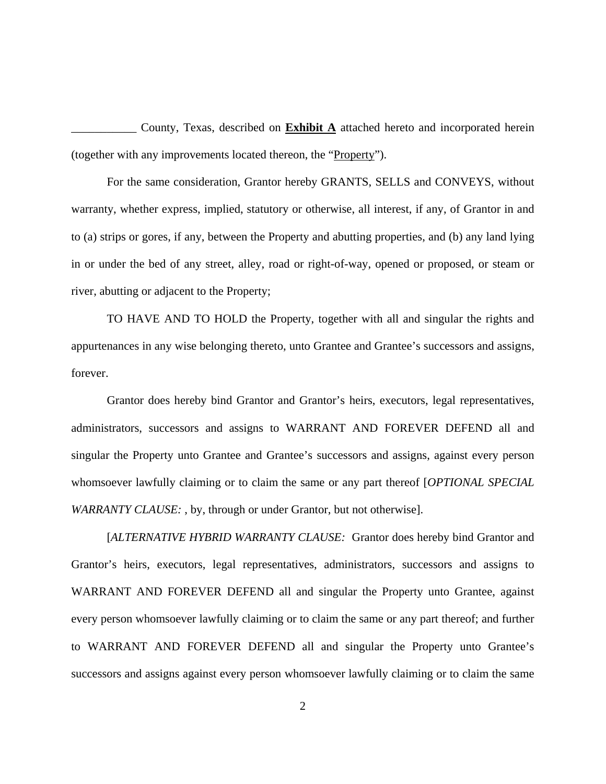\_\_\_\_\_\_\_\_\_\_\_ County, Texas, described on **Exhibit A** attached hereto and incorporated herein (together with any improvements located thereon, the "Property").

For the same consideration, Grantor hereby GRANTS, SELLS and CONVEYS, without warranty, whether express, implied, statutory or otherwise, all interest, if any, of Grantor in and to (a) strips or gores, if any, between the Property and abutting properties, and (b) any land lying in or under the bed of any street, alley, road or right-of-way, opened or proposed, or steam or river, abutting or adjacent to the Property;

TO HAVE AND TO HOLD the Property, together with all and singular the rights and appurtenances in any wise belonging thereto, unto Grantee and Grantee's successors and assigns, forever.

Grantor does hereby bind Grantor and Grantor's heirs, executors, legal representatives, administrators, successors and assigns to WARRANT AND FOREVER DEFEND all and singular the Property unto Grantee and Grantee's successors and assigns, against every person whomsoever lawfully claiming or to claim the same or any part thereof [*OPTIONAL SPECIAL WARRANTY CLAUSE:* , by, through or under Grantor, but not otherwise].

[*ALTERNATIVE HYBRID WARRANTY CLAUSE:* Grantor does hereby bind Grantor and Grantor's heirs, executors, legal representatives, administrators, successors and assigns to WARRANT AND FOREVER DEFEND all and singular the Property unto Grantee, against every person whomsoever lawfully claiming or to claim the same or any part thereof; and further to WARRANT AND FOREVER DEFEND all and singular the Property unto Grantee's successors and assigns against every person whomsoever lawfully claiming or to claim the same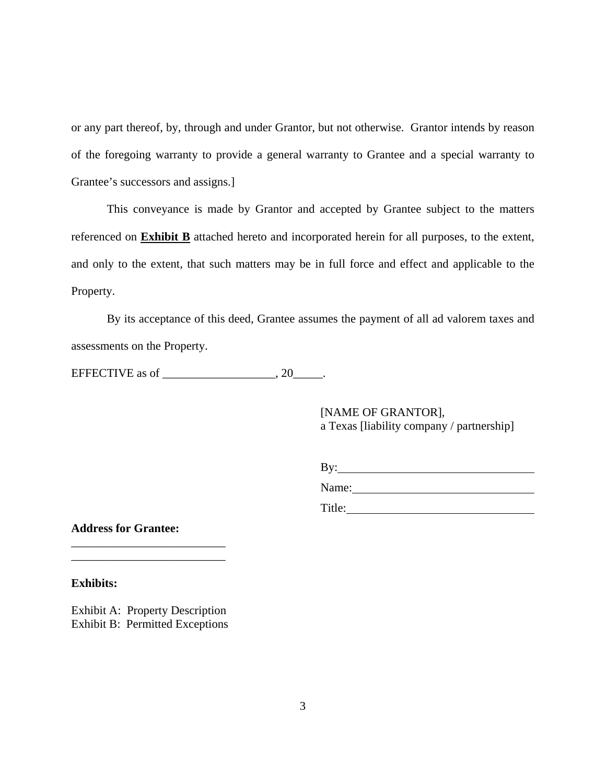or any part thereof, by, through and under Grantor, but not otherwise. Grantor intends by reason of the foregoing warranty to provide a general warranty to Grantee and a special warranty to Grantee's successors and assigns.]

This conveyance is made by Grantor and accepted by Grantee subject to the matters referenced on **Exhibit B** attached hereto and incorporated herein for all purposes, to the extent, and only to the extent, that such matters may be in full force and effect and applicable to the Property.

By its acceptance of this deed, Grantee assumes the payment of all ad valorem taxes and assessments on the Property.

EFFECTIVE as of \_\_\_\_\_\_\_\_\_\_\_\_\_\_\_\_\_\_\_\_, 20\_\_\_\_\_\_.

 [NAME OF GRANTOR], a Texas [liability company / partnership]

By:

Name: 2008. 2009. 2010. 2010. 2010. 2010. 2010. 2010. 2010. 2010. 2010. 2010. 2010. 2010. 2010. 2010. 2010. 20<br>2010. 2010. 2010. 2010. 2010. 2010. 2010. 2010. 2010. 2010. 2010. 2010. 2010. 2010. 2010. 2010. 2010. 2010. 20 Title:

**Address for Grantee:** 

**Exhibits:** 

Exhibit A: Property Description Exhibit B: Permitted Exceptions

\_\_\_\_\_\_\_\_\_\_\_\_\_\_\_\_\_\_\_\_\_\_\_\_\_\_ \_\_\_\_\_\_\_\_\_\_\_\_\_\_\_\_\_\_\_\_\_\_\_\_\_\_